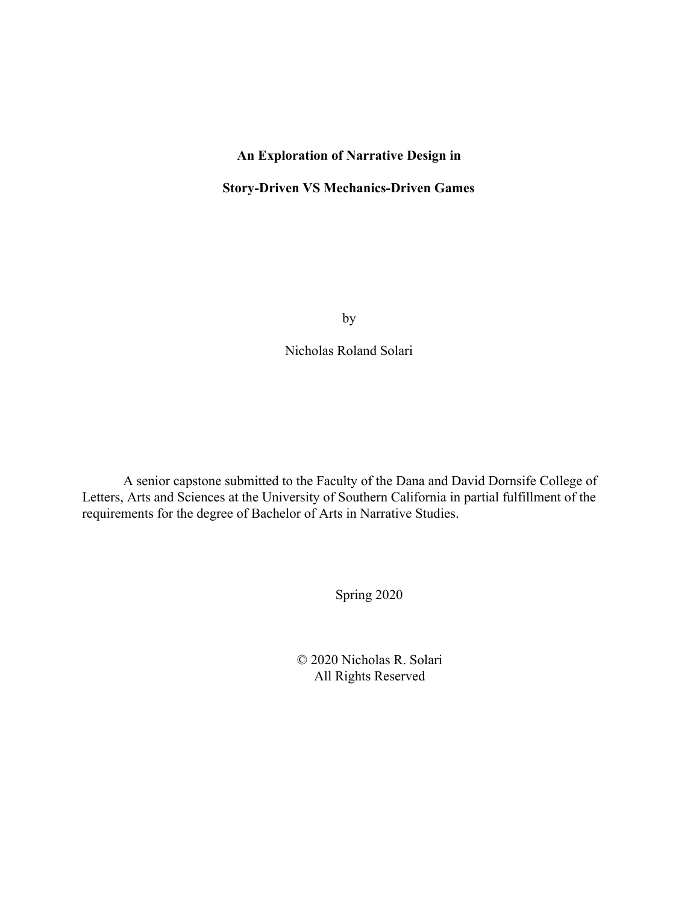# **An Exploration of Narrative Design in**

## **Story-Driven VS Mechanics-Driven Games**

by

Nicholas Roland Solari

A senior capstone submitted to the Faculty of the Dana and David Dornsife College of Letters, Arts and Sciences at the University of Southern California in partial fulfillment of the requirements for the degree of Bachelor of Arts in Narrative Studies.

Spring 2020

© 2020 Nicholas R. Solari All Rights Reserved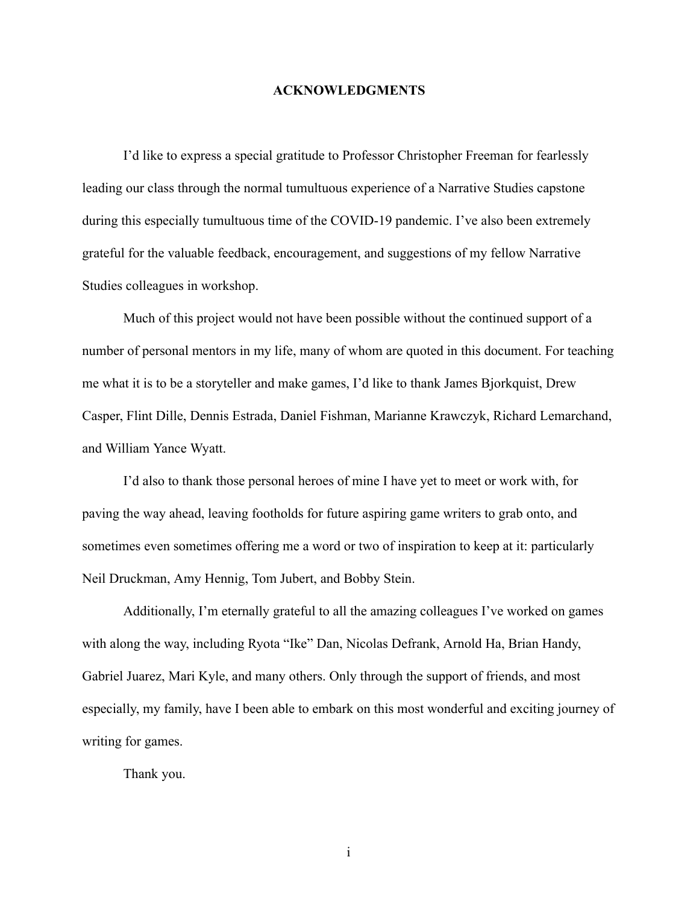## **ACKNOWLEDGMENTS**

I'd like to express a special gratitude to Professor Christopher Freeman for fearlessly leading our class through the normal tumultuous experience of a Narrative Studies capstone during this especially tumultuous time of the COVID-19 pandemic. I've also been extremely grateful for the valuable feedback, encouragement, and suggestions of my fellow Narrative Studies colleagues in workshop.

Much of this project would not have been possible without the continued support of a number of personal mentors in my life, many of whom are quoted in this document. For teaching me what it is to be a storyteller and make games, I'd like to thank James Bjorkquist, Drew Casper, Flint Dille, Dennis Estrada, Daniel Fishman, Marianne Krawczyk, Richard Lemarchand, and William Yance Wyatt.

I'd also to thank those personal heroes of mine I have yet to meet or work with, for paving the way ahead, leaving footholds for future aspiring game writers to grab onto, and sometimes even sometimes offering me a word or two of inspiration to keep at it: particularly Neil Druckman, Amy Hennig, Tom Jubert, and Bobby Stein.

Additionally, I'm eternally grateful to all the amazing colleagues I've worked on games with along the way, including Ryota "Ike" Dan, Nicolas Defrank, Arnold Ha, Brian Handy, Gabriel Juarez, Mari Kyle, and many others. Only through the support of friends, and most especially, my family, have I been able to embark on this most wonderful and exciting journey of writing for games.

Thank you.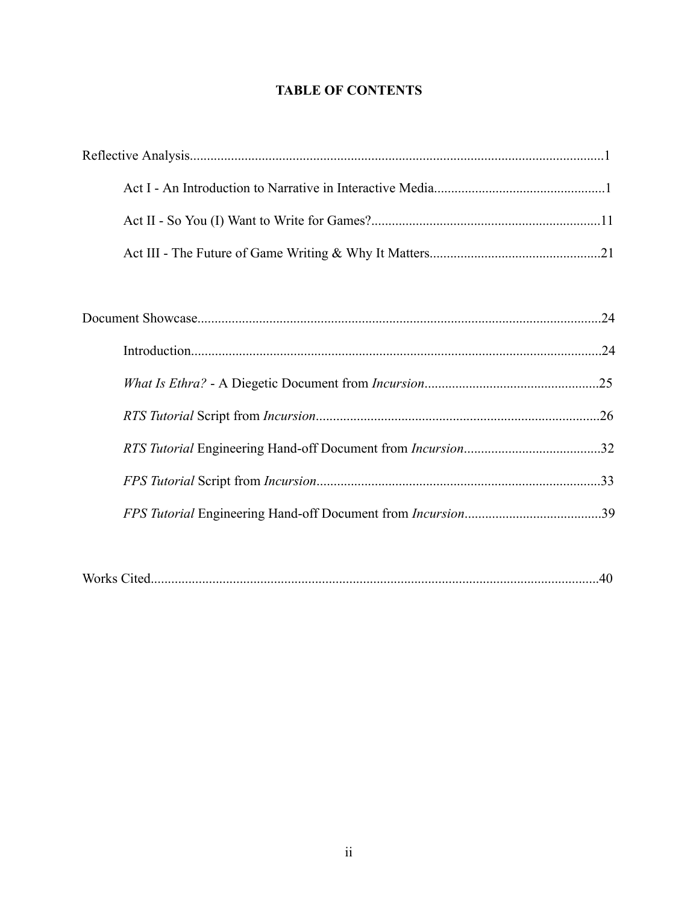# **TABLE OF CONTENTS**

| Works |  |
|-------|--|
|-------|--|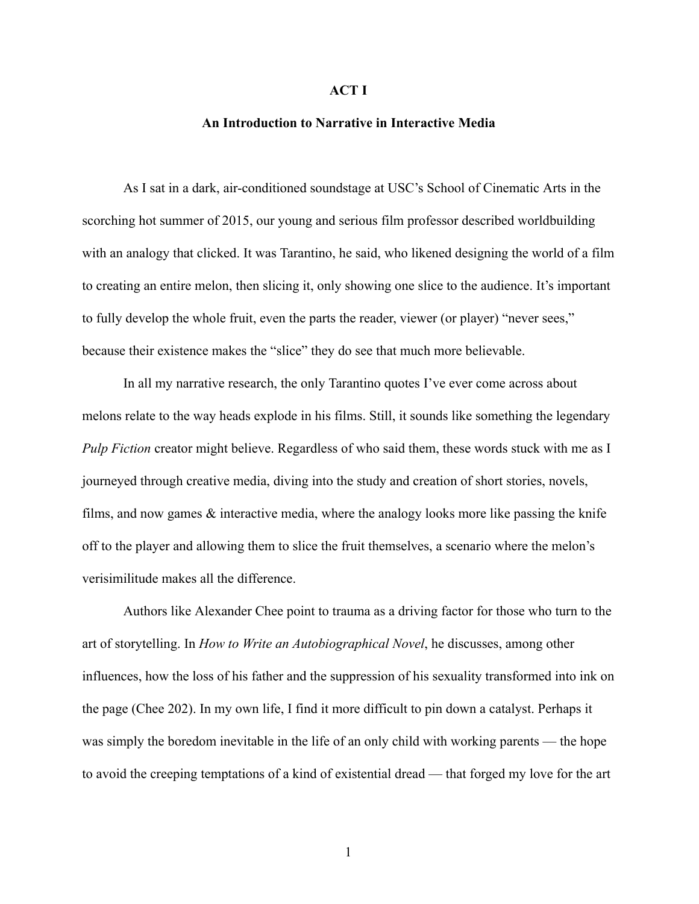### **ACT I**

## **An Introduction to Narrative in Interactive Media**

As I sat in a dark, air-conditioned soundstage at USC's School of Cinematic Arts in the scorching hot summer of 2015, our young and serious film professor described worldbuilding with an analogy that clicked. It was Tarantino, he said, who likened designing the world of a film to creating an entire melon, then slicing it, only showing one slice to the audience. It's important to fully develop the whole fruit, even the parts the reader, viewer (or player) "never sees," because their existence makes the "slice" they do see that much more believable.

In all my narrative research, the only Tarantino quotes I've ever come across about melons relate to the way heads explode in his films. Still, it sounds like something the legendary *Pulp Fiction* creator might believe. Regardless of who said them, these words stuck with me as I journeyed through creative media, diving into the study and creation of short stories, novels, films, and now games & interactive media, where the analogy looks more like passing the knife off to the player and allowing them to slice the fruit themselves, a scenario where the melon's verisimilitude makes all the difference.

Authors like Alexander Chee point to trauma as a driving factor for those who turn to the art of storytelling. In *How to Write an Autobiographical Novel* , he discusses, among other influences, how the loss of his father and the suppression of his sexuality transformed into ink on the page (Chee 202). In my own life, I find it more difficult to pin down a catalyst. Perhaps it was simply the boredom inevitable in the life of an only child with working parents — the hope to avoid the creeping temptations of a kind of existential dread — that forged my love for the art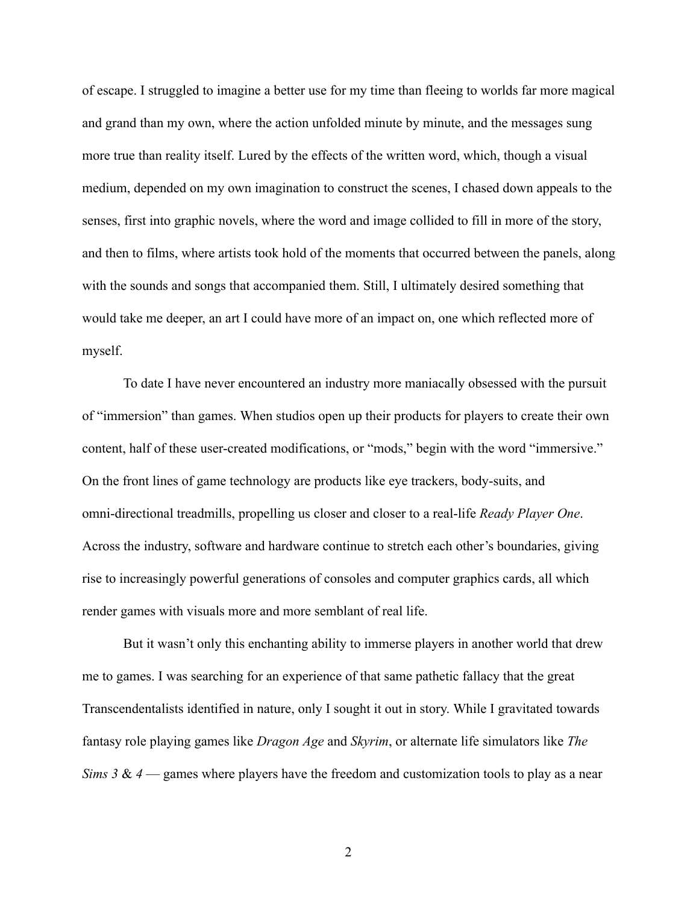of escape. I struggled to imagine a better use for my time than fleeing to worlds far more magical and grand than my own, where the action unfolded minute by minute, and the messages sung more true than reality itself. Lured by the effects of the written word, which, though a visual medium, depended on my own imagination to construct the scenes, I chased down appeals to the senses, first into graphic novels, where the word and image collided to fill in more of the story, and then to films, where artists took hold of the moments that occurred between the panels, along with the sounds and songs that accompanied them. Still, I ultimately desired something that would take me deeper, an art I could have more of an impact on, one which reflected more of myself.

To date I have never encountered an industry more maniacally obsessed with the pursuit of "immersion" than games. When studios open up their products for players to create their own content, half of these user-created modifications, or "mods," begin with the word "immersive." On the front lines of game technology are products like eye trackers, body-suits, and omni-directional treadmills, propelling us closer and closer to a real-life *Ready Player One* . Across the industry, software and hardware continue to stretch each other's boundaries, giving rise to increasingly powerful generations of consoles and computer graphics cards, all which render games with visuals more and more semblant of real life.

But it wasn't only this enchanting ability to immerse players in another world that drew me to games. I was searching for an experience of that same pathetic fallacy that the great Transcendentalists identified in nature, only I sought it out in story. While I gravitated towards fantasy role playing games like *Dragon Age* and *Skyrim* , or alternate life simulators like *The Sims 3* & *4* — games where players have the freedom and customization tools to play as a near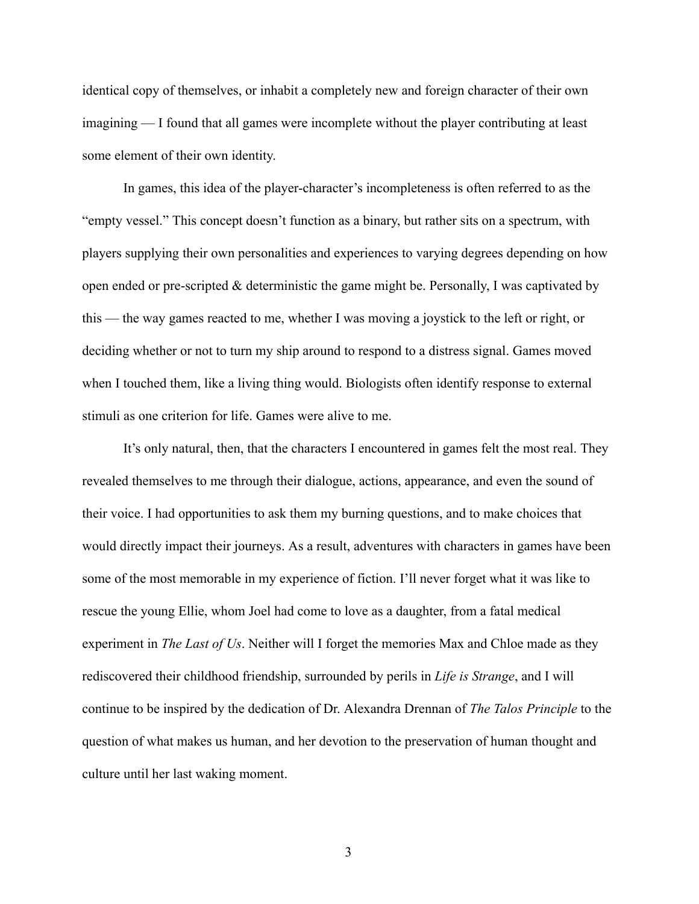identical copy of themselves, or inhabit a completely new and foreign character of their own imagining — I found that all games were incomplete without the player contributing at least some element of their own identity.

In games, this idea of the player-character's incompleteness is often referred to as the "empty vessel." This concept doesn't function as a binary, but rather sits on a spectrum, with players supplying their own personalities and experiences to varying degrees depending on how open ended or pre-scripted & deterministic the game might be. Personally, I was captivated by this — the way games reacted to me, whether I was moving a joystick to the left or right, or deciding whether or not to turn my ship around to respond to a distress signal. Games moved when I touched them, like a living thing would. Biologists often identify response to external stimuli as one criterion for life. Games were alive to me.

It's only natural, then, that the characters I encountered in games felt the most real. They revealed themselves to me through their dialogue, actions, appearance, and even the sound of their voice. I had opportunities to ask them my burning questions, and to make choices that would directly impact their journeys. As a result, adventures with characters in games have been some of the most memorable in my experience of fiction. I'll never forget what it was like to rescue the young Ellie, whom Joel had come to love as a daughter, from a fatal medical experiment in *The Last of Us* . Neither will I forget the memories Max and Chloe made as they rediscovered their childhood friendship, surrounded by perils in *Life is Strange* , and I will continue to be inspired by the dedication of Dr. Alexandra Drennan of *The Talos Principle* to the question of what makes us human, and her devotion to the preservation of human thought and culture until her last waking moment.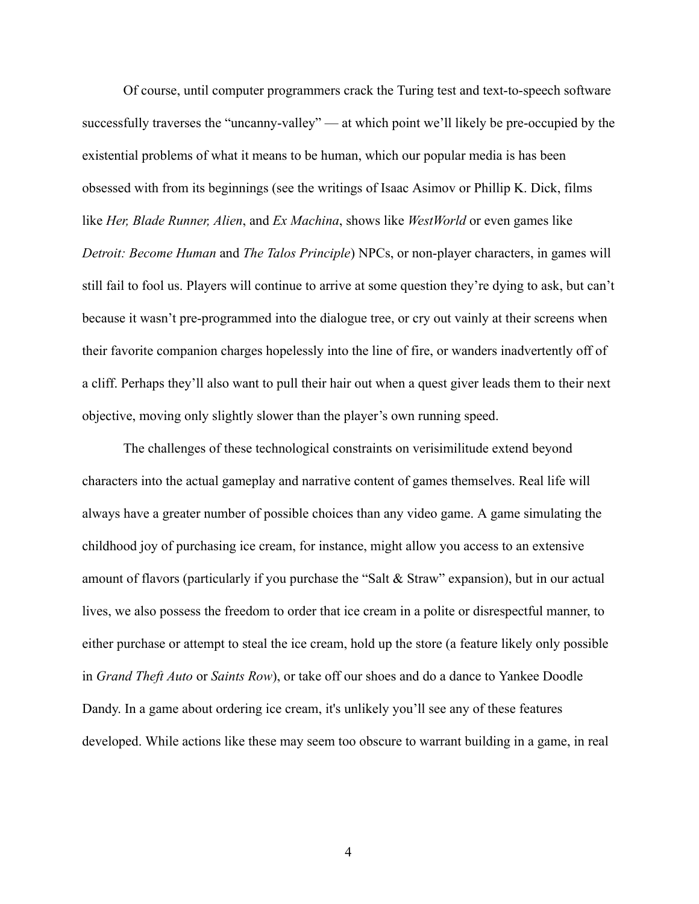Of course, until computer programmers crack the Turing test and text-to-speech software successfully traverses the "uncanny-valley" — at which point we'll likely be pre-occupied by the existential problems of what it means to be human, which our popular media is has been obsessed with from its beginnings (see the writings of Isaac Asimov or Phillip K. Dick, films like *Her, Blade Runner, Alien* , and *Ex Machina* , shows like *WestWorld* or even games like *Detroit: Become Human and The Talos Principle*) NPCs, or non-player characters, in games will still fail to fool us. Players will continue to arrive at some question they're dying to ask, but can't because it wasn't pre-programmed into the dialogue tree, or cry out vainly at their screens when their favorite companion charges hopelessly into the line of fire, or wanders inadvertently off of a cliff. Perhaps they'll also want to pull their hair out when a quest giver leads them to their next objective, moving only slightly slower than the player's own running speed.

The challenges of these technological constraints on verisimilitude extend beyond characters into the actual gameplay and narrative content of games themselves. Real life will always have a greater number of possible choices than any video game. A game simulating the childhood joy of purchasing ice cream, for instance, might allow you access to an extensive amount of flavors (particularly if you purchase the "Salt & Straw" expansion), but in our actual lives, we also possess the freedom to order that ice cream in a polite or disrespectful manner, to either purchase or attempt to steal the ice cream, hold up the store (a feature likely only possible in *Grand Theft Auto* or *Saints Row* ), or take off our shoes and do a dance to Yankee Doodle Dandy. In a game about ordering ice cream, it's unlikely you'll see any of these features developed. While actions like these may seem too obscure to warrant building in a game, in real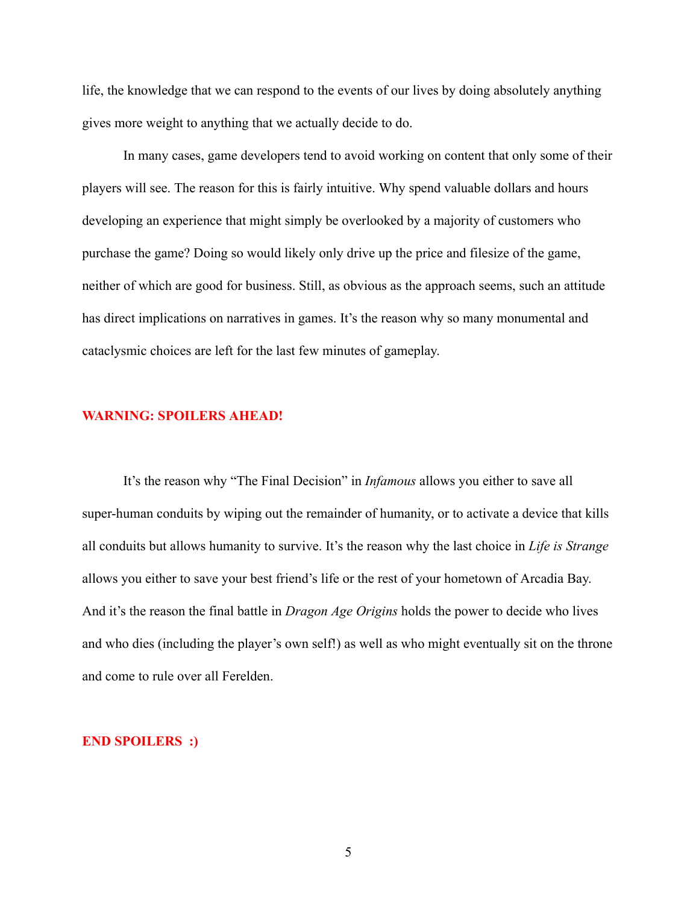life, the knowledge that we can respond to the events of our lives by doing absolutely anything gives more weight to anything that we actually decide to do.

In many cases, game developers tend to avoid working on content that only some of their players will see. The reason for this is fairly intuitive. Why spend valuable dollars and hours developing an experience that might simply be overlooked by a majority of customers who purchase the game? Doing so would likely only drive up the price and filesize of the game, neither of which are good for business. Still, as obvious as the approach seems, such an attitude has direct implications on narratives in games. It's the reason why so many monumental and cataclysmic choices are left for the last few minutes of gameplay.

## **WARNING: SPOILERS AHEAD!**

It's the reason why "The Final Decision" in *Infamous* allows you either to save all super-human conduits by wiping out the remainder of humanity, or to activate a device that kills all conduits but allows humanity to survive. It's the reason why the last choice in *Life is Strange*  allows you either to save your best friend's life or the rest of your hometown of Arcadia Bay. And it's the reason the final battle in *Dragon Age Origins* holds the power to decide who lives and who dies (including the player's own self!) as well as who might eventually sit on the throne and come to rule over all Ferelden.

## **END SPOILERS :)**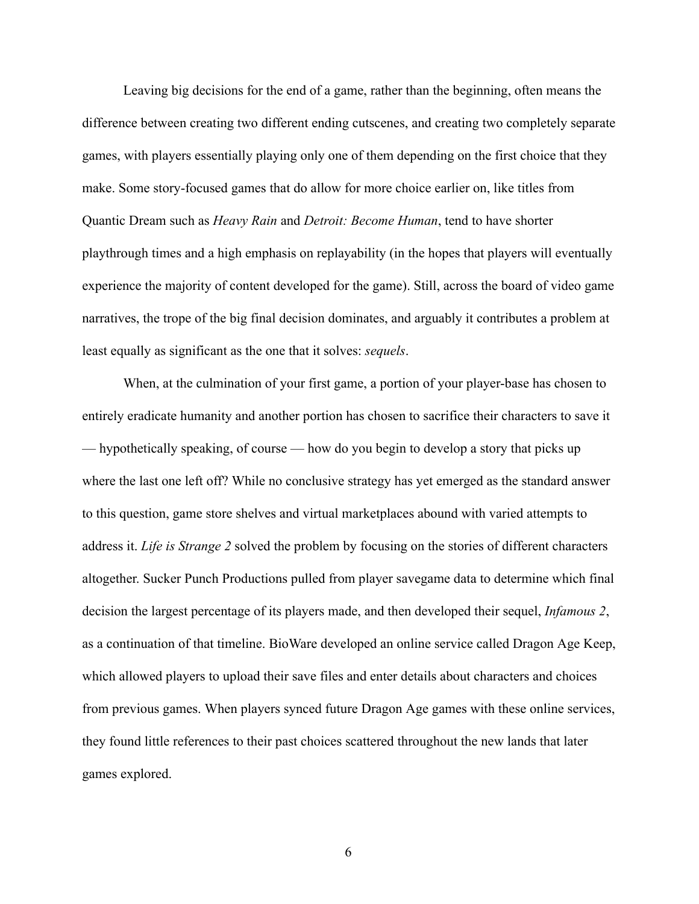Leaving big decisions for the end of a game, rather than the beginning, often means the difference between creating two different ending cutscenes, and creating two completely separate games, with players essentially playing only one of them depending on the first choice that they make. Some story-focused games that do allow for more choice earlier on, like titles from Quantic Dream such as *Heavy Rain* and *Detroit: Become Human* , tend to have shorter playthrough times and a high emphasis on replayability (in the hopes that players will eventually experience the majority of content developed for the game). Still, across the board of video game narratives, the trope of the big final decision dominates, and arguably it contributes a problem at least equally as significant as the one that it solves: *sequels* .

When, at the culmination of your first game, a portion of your player-base has chosen to entirely eradicate humanity and another portion has chosen to sacrifice their characters to save it — hypothetically speaking, of course — how do you begin to develop a story that picks up where the last one left off? While no conclusive strategy has yet emerged as the standard answer to this question, game store shelves and virtual marketplaces abound with varied attempts to address it. *Life is Strange 2* solved the problem by focusing on the stories of different characters altogether. Sucker Punch Productions pulled from player savegame data to determine which final decision the largest percentage of its players made, and then developed their sequel, *Infamous 2* , as a continuation of that timeline. BioWare developed an online service called Dragon Age Keep, which allowed players to upload their save files and enter details about characters and choices from previous games. When players synced future Dragon Age games with these online services, they found little references to their past choices scattered throughout the new lands that later games explored.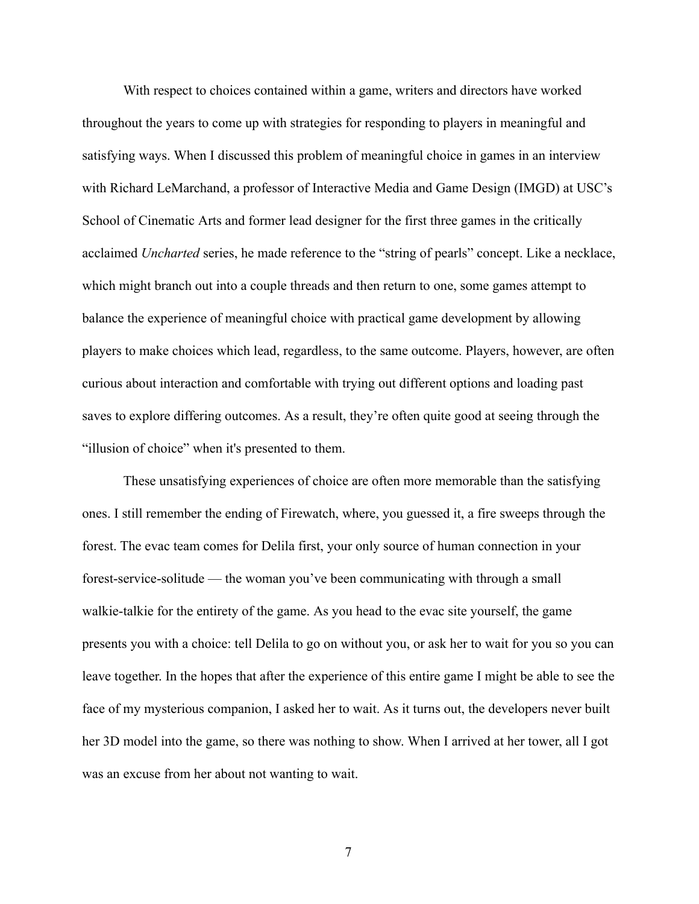With respect to choices contained within a game, writers and directors have worked throughout the years to come up with strategies for responding to players in meaningful and satisfying ways. When I discussed this problem of meaningful choice in games in an interview with Richard LeMarchand, a professor of Interactive Media and Game Design (IMGD) at USC's School of Cinematic Arts and former lead designer for the first three games in the critically acclaimed *Uncharted* series, he made reference to the "string of pearls" concept. Like a necklace, which might branch out into a couple threads and then return to one, some games attempt to balance the experience of meaningful choice with practical game development by allowing players to make choices which lead, regardless, to the same outcome. Players, however, are often curious about interaction and comfortable with trying out different options and loading past saves to explore differing outcomes. As a result, they're often quite good at seeing through the "illusion of choice" when it's presented to them.

These unsatisfying experiences of choice are often more memorable than the satisfying ones. I still remember the ending of Firewatch, where, you guessed it, a fire sweeps through the forest. The evac team comes for Delila first, your only source of human connection in your forest-service-solitude — the woman you've been communicating with through a small walkie-talkie for the entirety of the game. As you head to the evac site yourself, the game presents you with a choice: tell Delila to go on without you, or ask her to wait for you so you can leave together. In the hopes that after the experience of this entire game I might be able to see the face of my mysterious companion, I asked her to wait. As it turns out, the developers never built her 3D model into the game, so there was nothing to show. When I arrived at her tower, all I got was an excuse from her about not wanting to wait.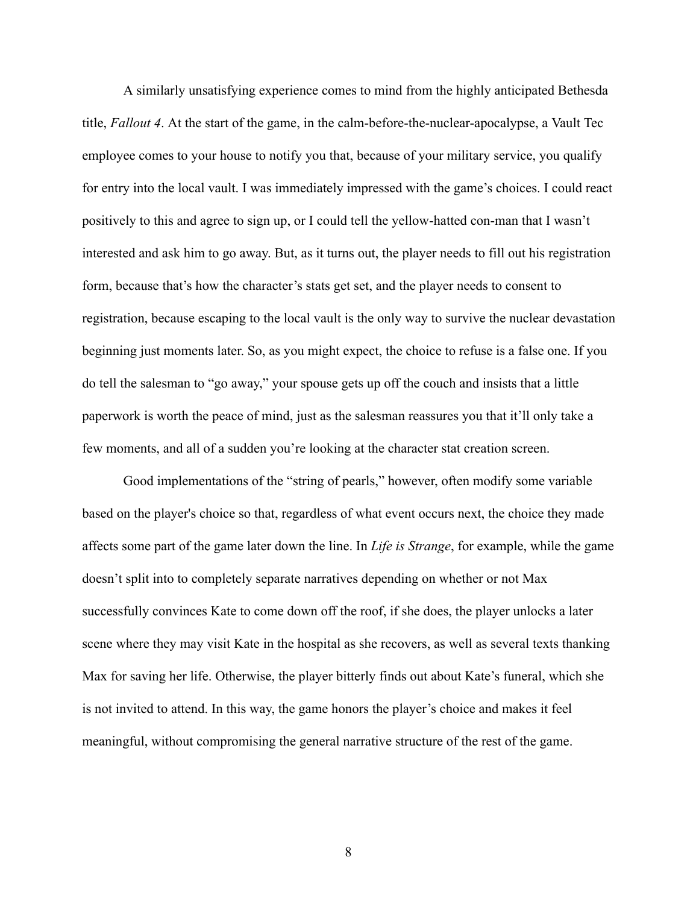A similarly unsatisfying experience comes to mind from the highly anticipated Bethesda title, *Fallout 4* . At the start of the game, in the calm-before-the-nuclear-apocalypse, a Vault Tec employee comes to your house to notify you that, because of your military service, you qualify for entry into the local vault. I was immediately impressed with the game's choices. I could react positively to this and agree to sign up, or I could tell the yellow-hatted con-man that I wasn't interested and ask him to go away. But, as it turns out, the player needs to fill out his registration form, because that's how the character's stats get set, and the player needs to consent to registration, because escaping to the local vault is the only way to survive the nuclear devastation beginning just moments later. So, as you might expect, the choice to refuse is a false one. If you do tell the salesman to "go away," your spouse gets up off the couch and insists that a little paperwork is worth the peace of mind, just as the salesman reassures you that it'll only take a few moments, and all of a sudden you're looking at the character stat creation screen.

Good implementations of the "string of pearls," however, often modify some variable based on the player's choice so that, regardless of what event occurs next, the choice they made affects some part of the game later down the line. In *Life is Strange* , for example, while the game doesn't split into to completely separate narratives depending on whether or not Max successfully convinces Kate to come down off the roof, if she does, the player unlocks a later scene where they may visit Kate in the hospital as she recovers, as well as several texts thanking Max for saving her life. Otherwise, the player bitterly finds out about Kate's funeral, which she is not invited to attend. In this way, the game honors the player's choice and makes it feel meaningful, without compromising the general narrative structure of the rest of the game.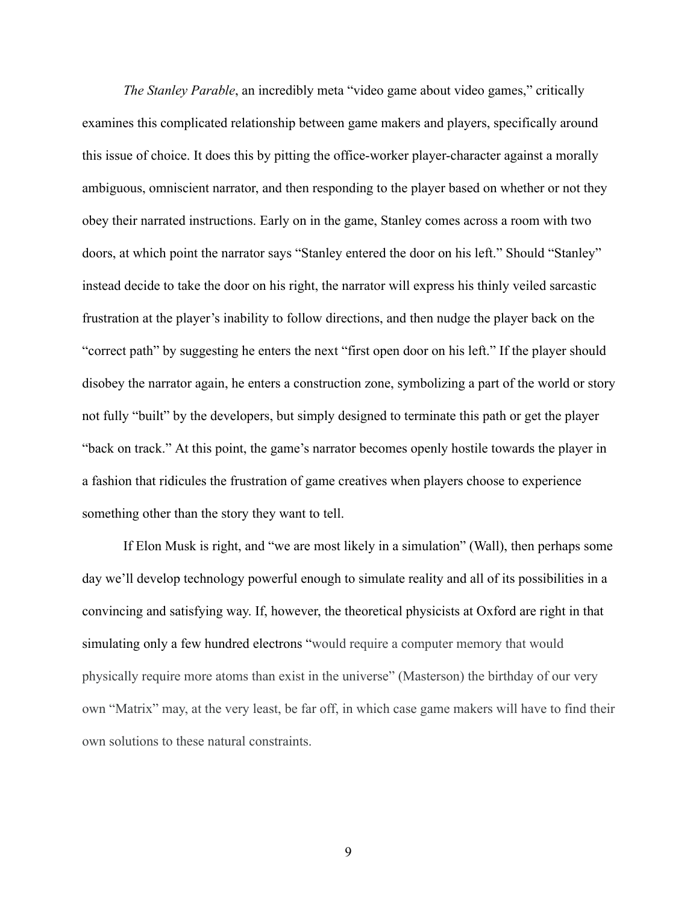*The Stanley Parable*, an incredibly meta "video game about video games," critically examines this complicated relationship between game makers and players, specifically around this issue of choice. It does this by pitting the office-worker player-character against a morally ambiguous, omniscient narrator, and then responding to the player based on whether or not they obey their narrated instructions. Early on in the game, Stanley comes across a room with two doors, at which point the narrator says "Stanley entered the door on his left." Should "Stanley" instead decide to take the door on his right, the narrator will express his thinly veiled sarcastic frustration at the player's inability to follow directions, and then nudge the player back on the "correct path" by suggesting he enters the next "first open door on his left." If the player should disobey the narrator again, he enters a construction zone, symbolizing a part of the world or story not fully "built" by the developers, but simply designed to terminate this path or get the player "back on track." At this point, the game's narrator becomes openly hostile towards the player in a fashion that ridicules the frustration of game creatives when players choose to experience something other than the story they want to tell.

If Elon Musk is right, and "we are most likely in a simulation" (Wall), then perhaps some day we'll develop technology powerful enough to simulate reality and all of its possibilities in a convincing and satisfying way. If, however, the theoretical physicists at Oxford are right in that simulating only a few hundred electrons "would require a computer memory that would physically require more atoms than exist in the universe" (Masterson) the birthday of our very own "Matrix" may, at the very least, be far off, in which case game makers will have to find their own solutions to these natural constraints.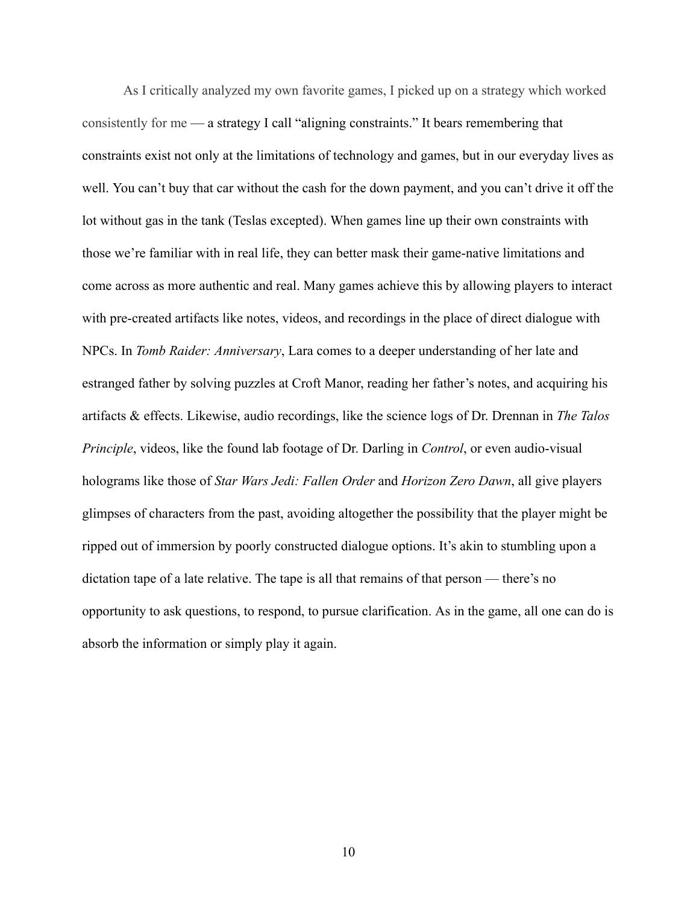As I critically analyzed my own favorite games, I picked up on a strategy which worked consistently for me — a strategy I call "aligning constraints." It bears remembering that constraints exist not only at the limitations of technology and games, but in our everyday lives as well. You can't buy that car without the cash for the down payment, and you can't drive it off the lot without gas in the tank (Teslas excepted). When games line up their own constraints with those we're familiar with in real life, they can better mask their game-native limitations and come across as more authentic and real. Many games achieve this by allowing players to interact with pre-created artifacts like notes, videos, and recordings in the place of direct dialogue with NPCs. In *Tomb Raider: Anniversary* , Lara comes to a deeper understanding of her late and estranged father by solving puzzles at Croft Manor, reading her father's notes, and acquiring his artifacts & effects. Likewise, audio recordings, like the science logs of Dr. Drennan in *The Talos Principle, videos, like the found lab footage of Dr. Darling in <i>Control, or even audio-visual* holograms like those of *Star Wars Jedi: Fallen Order* and *Horizon Zero Dawn* , all give players glimpses of characters from the past, avoiding altogether the possibility that the player might be ripped out of immersion by poorly constructed dialogue options. It's akin to stumbling upon a dictation tape of a late relative. The tape is all that remains of that person — there's no opportunity to ask questions, to respond, to pursue clarification. As in the game, all one can do is absorb the information or simply play it again.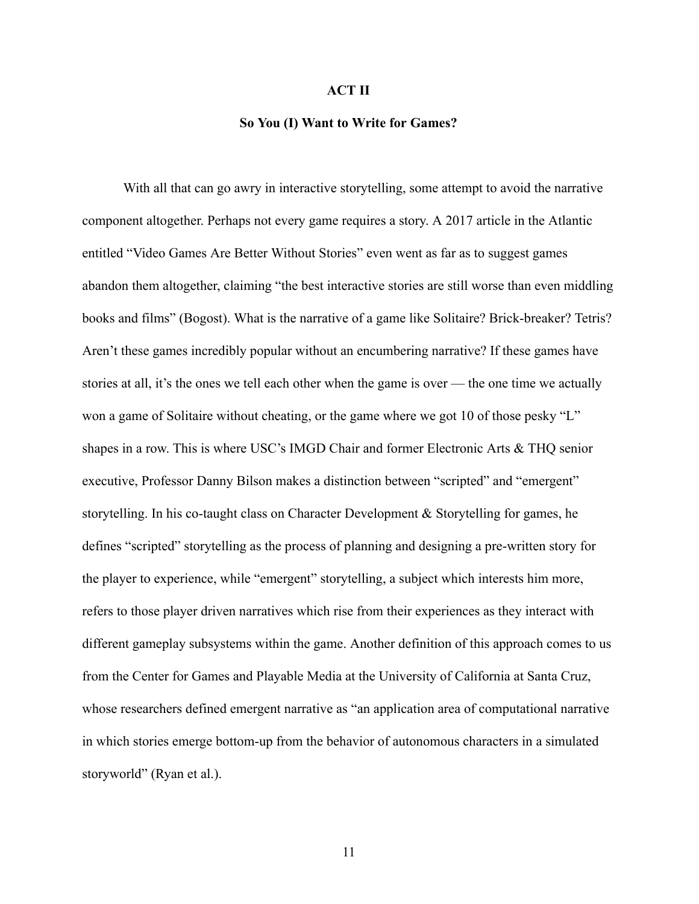## **ACT II**

#### **So You (I) Want to Write for Games?**

With all that can go awry in interactive storytelling, some attempt to avoid the narrative component altogether. Perhaps not every game requires a story. A 2017 article in the Atlantic entitled "Video Games Are Better Without Stories" even went as far as to suggest games abandon them altogether, claiming "the best interactive stories are still worse than even middling books and films" (Bogost). What is the narrative of a game like Solitaire? Brick-breaker? Tetris? Aren't these games incredibly popular without an encumbering narrative? If these games have stories at all, it's the ones we tell each other when the game is over — the one time we actually won a game of Solitaire without cheating, or the game where we got 10 of those pesky "L" shapes in a row. This is where USC's IMGD Chair and former Electronic Arts & THQ senior executive, Professor Danny Bilson makes a distinction between "scripted" and "emergent" storytelling. In his co-taught class on Character Development & Storytelling for games, he defines "scripted" storytelling as the process of planning and designing a pre-written story for the player to experience, while "emergent" storytelling, a subject which interests him more, refers to those player driven narratives which rise from their experiences as they interact with different gameplay subsystems within the game. Another definition of this approach comes to us from the Center for Games and Playable Media at the University of California at Santa Cruz, whose researchers defined emergent narrative as "an application area of computational narrative in which stories emerge bottom-up from the behavior of autonomous characters in a simulated storyworld" (Ryan et al.).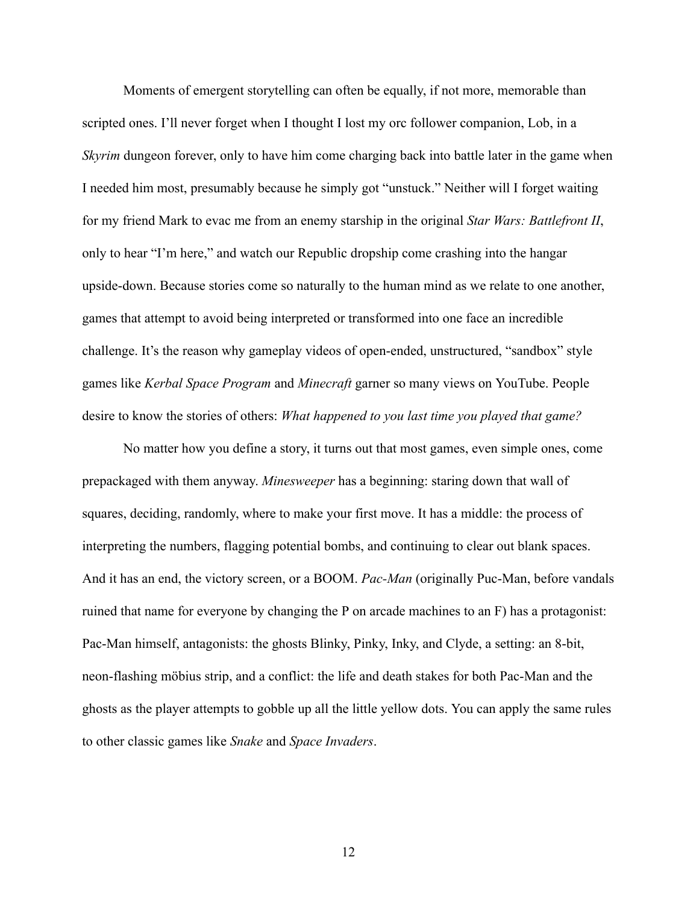Moments of emergent storytelling can often be equally, if not more, memorable than scripted ones. I'll never forget when I thought I lost my orc follower companion, Lob, in a *Skyrim* dungeon forever, only to have him come charging back into battle later in the game when I needed him most, presumably because he simply got "unstuck." Neither will I forget waiting for my friend Mark to evac me from an enemy starship in the original *Star Wars: Battlefront II* , only to hear "I'm here," and watch our Republic dropship come crashing into the hangar upside-down. Because stories come so naturally to the human mind as we relate to one another, games that attempt to avoid being interpreted or transformed into one face an incredible challenge. It's the reason why gameplay videos of open-ended, unstructured, "sandbox" style games like *Kerbal Space Program* and *Minecraft* garner so many views on YouTube. People desire to know the stories of others: *What happened to you last time you played that game?* 

No matter how you define a story, it turns out that most games, even simple ones, come prepackaged with them anyway. *Minesweeper* has a beginning: staring down that wall of squares, deciding, randomly, where to make your first move. It has a middle: the process of interpreting the numbers, flagging potential bombs, and continuing to clear out blank spaces. And it has an end, the victory screen, or a BOOM. *Pac-Man* (originally Puc-Man, before vandals ruined that name for everyone by changing the P on arcade machines to an F) has a protagonist: Pac-Man himself, antagonists: the ghosts Blinky, Pinky, Inky, and Clyde, a setting: an 8-bit, neon-flashing möbius strip, and a conflict: the life and death stakes for both Pac-Man and the ghosts as the player attempts to gobble up all the little yellow dots. You can apply the same rules to other classic games like *Snake* and *Space Invaders* .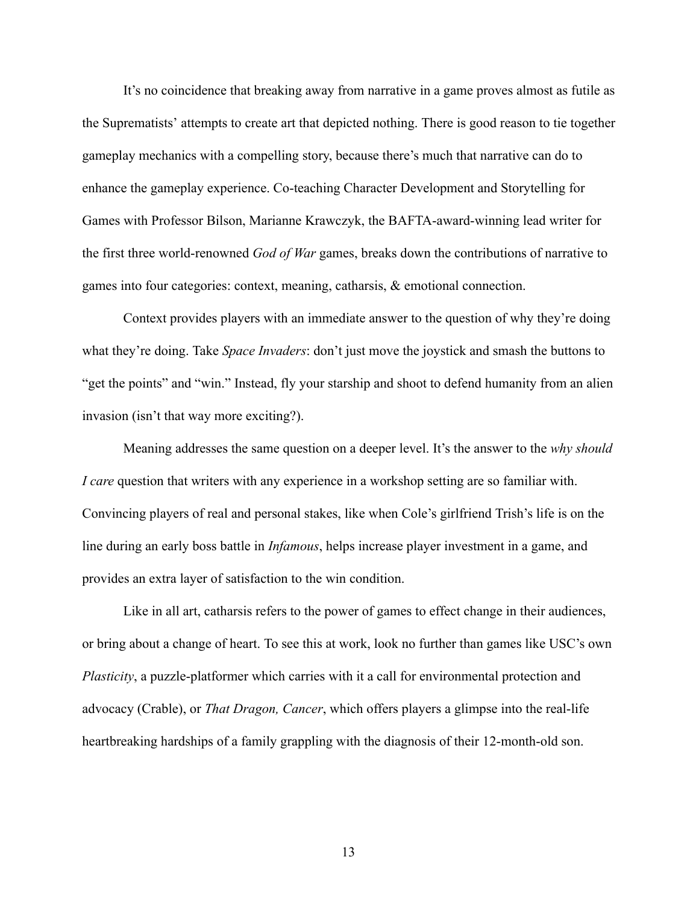It's no coincidence that breaking away from narrative in a game proves almost as futile as the Suprematists' attempts to create art that depicted nothing. There is good reason to tie together gameplay mechanics with a compelling story, because there's much that narrative can do to enhance the gameplay experience. Co-teaching Character Development and Storytelling for Games with Professor Bilson, Marianne Krawczyk, the BAFTA-award-winning lead writer for the first three world-renowned *God of War* games, breaks down the contributions of narrative to games into four categories: context, meaning, catharsis, & emotional connection.

Context provides players with an immediate answer to the question of why they're doing what they're doing. Take *Space Invaders*: don't just move the joystick and smash the buttons to "get the points" and "win." Instead, fly your starship and shoot to defend humanity from an alien invasion (isn't that way more exciting?).

Meaning addresses the same question on a deeper level. It's the answer to the *why should I care* question that writers with any experience in a workshop setting are so familiar with. Convincing players of real and personal stakes, like when Cole's girlfriend Trish's life is on the line during an early boss battle in *Infamous* , helps increase player investment in a game, and provides an extra layer of satisfaction to the win condition.

Like in all art, catharsis refers to the power of games to effect change in their audiences, or bring about a change of heart. To see this at work, look no further than games like USC's own *Plasticity*, a puzzle-platformer which carries with it a call for environmental protection and advocacy (Crable), or *That Dragon, Cancer*, which offers players a glimpse into the real-life heartbreaking hardships of a family grappling with the diagnosis of their 12-month-old son.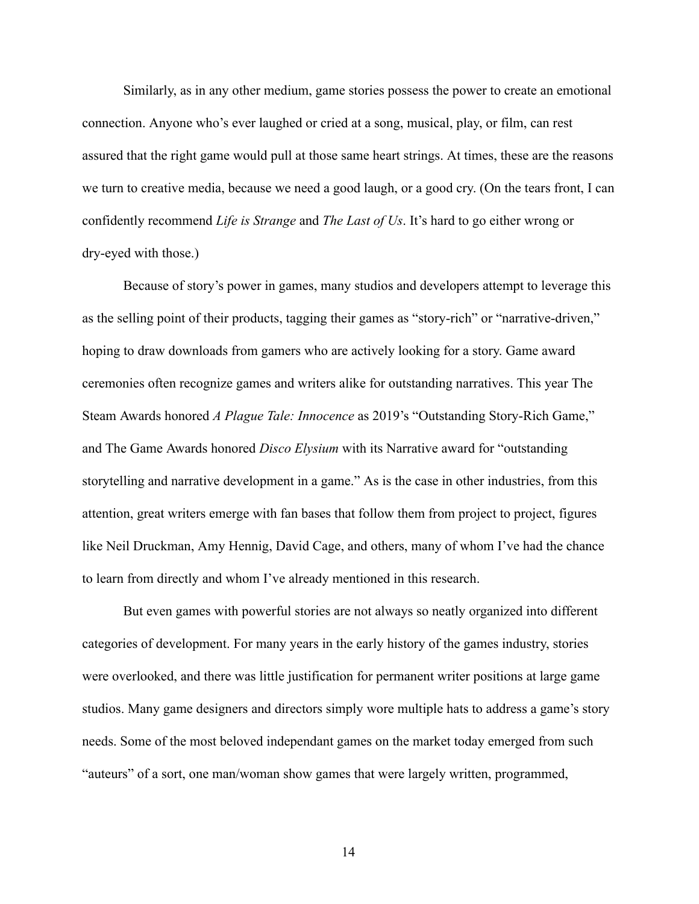Similarly, as in any other medium, game stories possess the power to create an emotional connection. Anyone who's ever laughed or cried at a song, musical, play, or film, can rest assured that the right game would pull at those same heart strings. At times, these are the reasons we turn to creative media, because we need a good laugh, or a good cry. (On the tears front, I can confidently recommend *Life is Strange* and *The Last of Us* . It's hard to go either wrong or dry-eyed with those.)

Because of story's power in games, many studios and developers attempt to leverage this as the selling point of their products, tagging their games as "story-rich" or "narrative-driven," hoping to draw downloads from gamers who are actively looking for a story. Game award ceremonies often recognize games and writers alike for outstanding narratives. This year The Steam Awards honored *A Plague Tale: Innocence* as 2019's "Outstanding Story-Rich Game," and The Game Awards honored *Disco Elysium* with its Narrative award for "outstanding storytelling and narrative development in a game." As is the case in other industries, from this attention, great writers emerge with fan bases that follow them from project to project, figures like Neil Druckman, Amy Hennig, David Cage, and others, many of whom I've had the chance to learn from directly and whom I've already mentioned in this research.

But even games with powerful stories are not always so neatly organized into different categories of development. For many years in the early history of the games industry, stories were overlooked, and there was little justification for permanent writer positions at large game studios. Many game designers and directors simply wore multiple hats to address a game's story needs. Some of the most beloved independant games on the market today emerged from such "auteurs" of a sort, one man/woman show games that were largely written, programmed,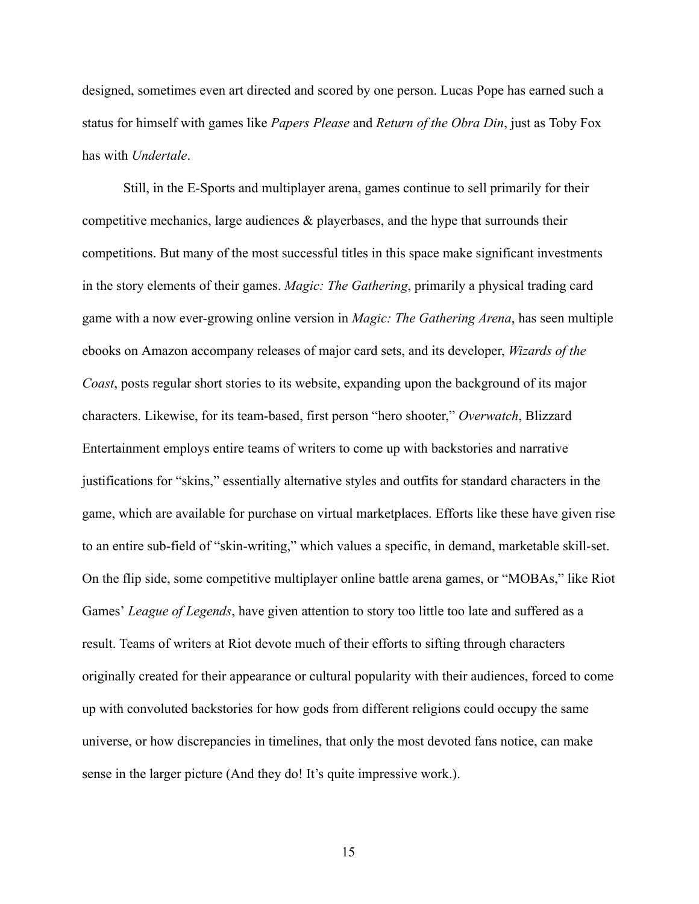designed, sometimes even art directed and scored by one person. Lucas Pope has earned such a status for himself with games like *Papers Please* and *Return of the Obra Din* , just as Toby Fox has with *Undertale* .

Still, in the E-Sports and multiplayer arena, games continue to sell primarily for their competitive mechanics, large audiences & playerbases, and the hype that surrounds their competitions. But many of the most successful titles in this space make significant investments in the story elements of their games. *Magic: The Gathering*, primarily a physical trading card game with a now ever-growing online version in *Magic: The Gathering Arena* , has seen multiple ebooks on Amazon accompany releases of major card sets, and its developer, *Wizards of the Coast*, posts regular short stories to its website, expanding upon the background of its major characters. Likewise, for its team-based, first person "hero shooter," Overwatch, Blizzard Entertainment employs entire teams of writers to come up with backstories and narrative justifications for "skins," essentially alternative styles and outfits for standard characters in the game, which are available for purchase on virtual marketplaces. Efforts like these have given rise to an entire sub-field of "skin-writing," which values a specific, in demand, marketable skill-set. On the flip side, some competitive multiplayer online battle arena games, or "MOBAs," like Riot Games' *League of Legends* , have given attention to story too little too late and suffered as a result. Teams of writers at Riot devote much of their efforts to sifting through characters originally created for their appearance or cultural popularity with their audiences, forced to come up with convoluted backstories for how gods from different religions could occupy the same universe, or how discrepancies in timelines, that only the most devoted fans notice, can make sense in the larger picture (And they do! It's quite impressive work.).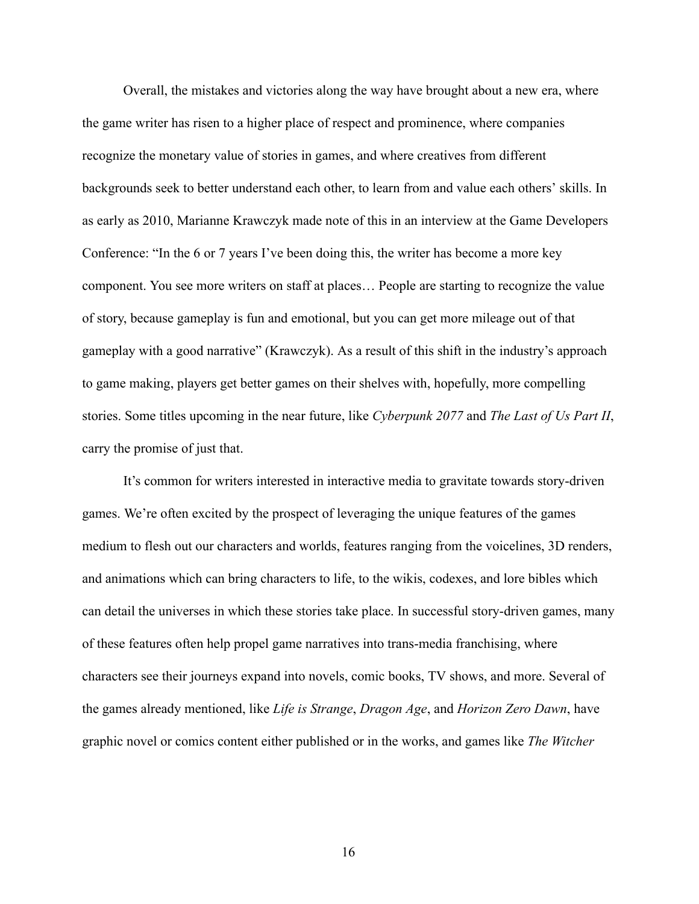Overall, the mistakes and victories along the way have brought about a new era, where the game writer has risen to a higher place of respect and prominence, where companies recognize the monetary value of stories in games, and where creatives from different backgrounds seek to better understand each other, to learn from and value each others' skills. In as early as 2010, Marianne Krawczyk made note of this in an interview at the Game Developers Conference: "In the 6 or 7 years I've been doing this, the writer has become a more key component. You see more writers on staff at places… People are starting to recognize the value of story, because gameplay is fun and emotional, but you can get more mileage out of that gameplay with a good narrative" (Krawczyk). As a result of this shift in the industry's approach to game making, players get better games on their shelves with, hopefully, more compelling stories. Some titles upcoming in the near future, like *Cyberpunk 2077* and *The Last of Us Part II*, carry the promise of just that.

It's common for writers interested in interactive media to gravitate towards story-driven games. We're often excited by the prospect of leveraging the unique features of the games medium to flesh out our characters and worlds, features ranging from the voicelines, 3D renders, and animations which can bring characters to life, to the wikis, codexes, and lore bibles which can detail the universes in which these stories take place. In successful story-driven games, many of these features often help propel game narratives into trans-media franchising, where characters see their journeys expand into novels, comic books, TV shows, and more. Several of the games already mentioned, like *Life is Strange* , *Dragon Age* , and *Horizon Zero Dawn* , have graphic novel or comics content either published or in the works, and games like *The Witcher*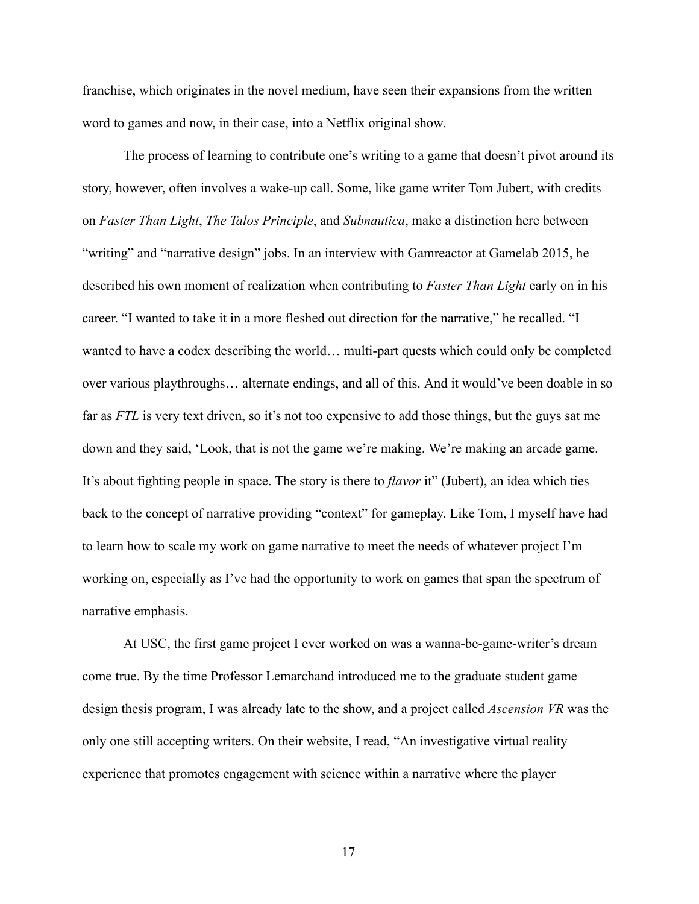franchise, which originates in the novel medium, have seen their expansions from the written word to games and now, in their case, into a Netflix original show.

The process of learning to contribute one's writing to a game that doesn't pivot around its story, however, often involves a wake-up call. Some, like game writer Tom Jubert, with credits on *Faster Than Light* , *The Talos Principle* , and *Subnautica* , make a distinction here between "writing" and "narrative design" jobs. In an interview with Gamreactor at Gamelab 2015, he described his own moment of realization when contributing to *Faster Than Light* early on in his career. "I wanted to take it in a more fleshed out direction for the narrative," he recalled. "I wanted to have a codex describing the world… multi-part quests which could only be completed over various playthroughs… alternate endings, and all of this. And it would've been doable in so far as *FTL* is very text driven, so it's not too expensive to add those things, but the guys sat me down and they said, 'Look, that is not the game we're making. We're making an arcade game. It's about fighting people in space. The story is there to *flavor* it" (Jubert), an idea which ties back to the concept of narrative providing "context" for gameplay. Like Tom, I myself have had to learn how to scale my work on game narrative to meet the needs of whatever project I'm working on, especially as I've had the opportunity to work on games that span the spectrum of narrative emphasis.

At USC, the first game project I ever worked on was a wanna-be-game-writer's dream come true. By the time Professor Lemarchand introduced me to the graduate student game design thesis program, I was already late to the show, and a project called *Ascension VR* was the only one still accepting writers. On their website, I read, "An investigative virtual reality experience that promotes engagement with science within a narrative where the player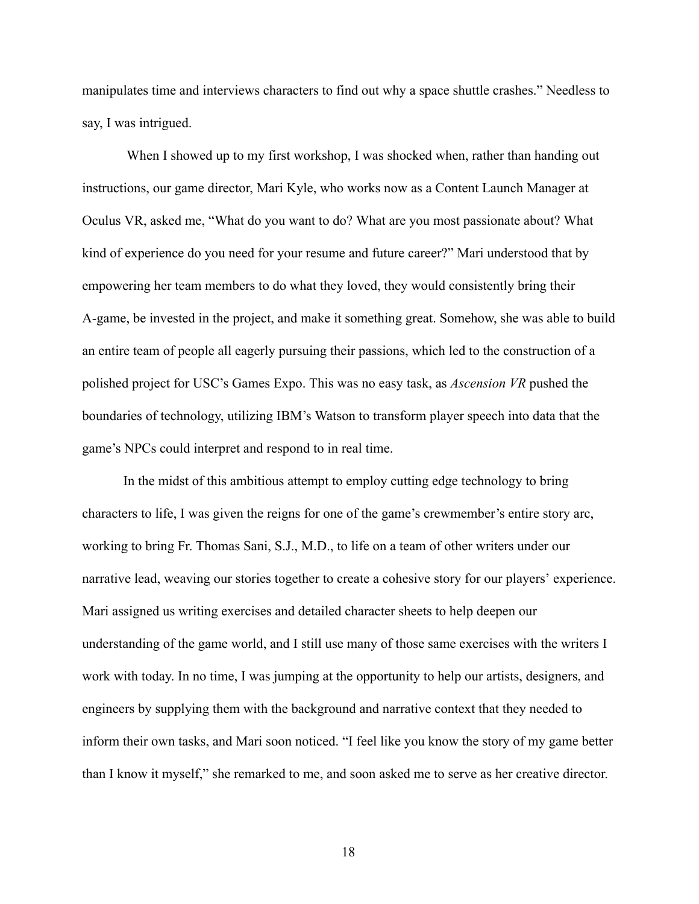manipulates time and interviews characters to find out why a space shuttle crashes." Needless to say, I was intrigued.

When I showed up to my first workshop, I was shocked when, rather than handing out instructions, our game director, Mari Kyle, who works now as a Content Launch Manager at Oculus VR, asked me, "What do you want to do? What are you most passionate about? What kind of experience do you need for your resume and future career?" Mari understood that by empowering her team members to do what they loved, they would consistently bring their A-game, be invested in the project, and make it something great. Somehow, she was able to build an entire team of people all eagerly pursuing their passions, which led to the construction of a polished project for USC's Games Expo. This was no easy task, as *Ascension VR* pushed the boundaries of technology, utilizing IBM's Watson to transform player speech into data that the game's NPCs could interpret and respond to in real time.

In the midst of this ambitious attempt to employ cutting edge technology to bring characters to life, I was given the reigns for one of the game's crewmember's entire story arc, working to bring Fr. Thomas Sani, S.J., M.D., to life on a team of other writers under our narrative lead, weaving our stories together to create a cohesive story for our players' experience. Mari assigned us writing exercises and detailed character sheets to help deepen our understanding of the game world, and I still use many of those same exercises with the writers I work with today. In no time, I was jumping at the opportunity to help our artists, designers, and engineers by supplying them with the background and narrative context that they needed to inform their own tasks, and Mari soon noticed. "I feel like you know the story of my game better than I know it myself," she remarked to me, and soon asked me to serve as her creative director.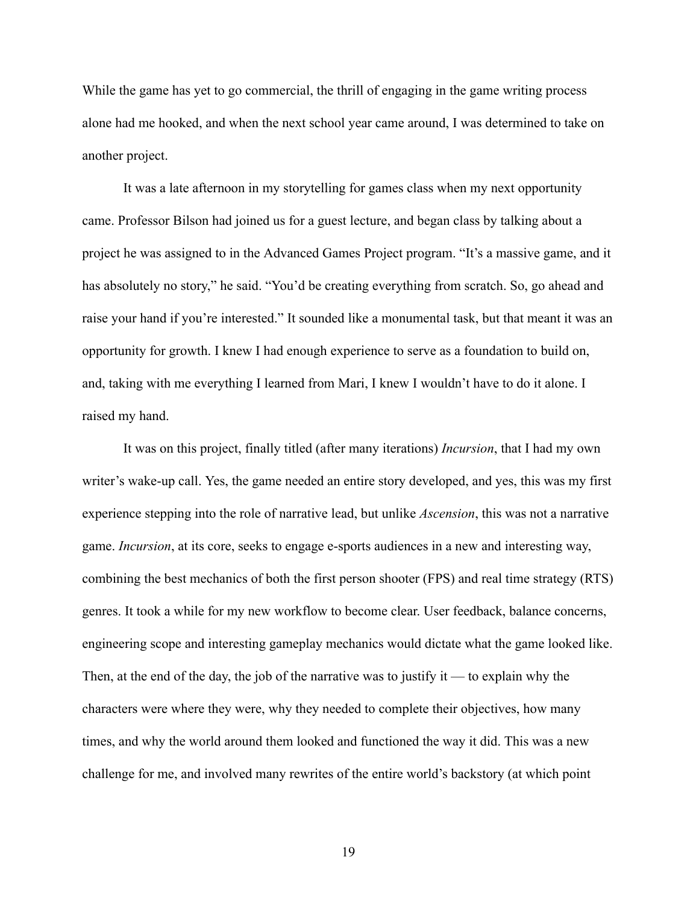While the game has yet to go commercial, the thrill of engaging in the game writing process alone had me hooked, and when the next school year came around, I was determined to take on another project.

It was a late afternoon in my storytelling for games class when my next opportunity came. Professor Bilson had joined us for a guest lecture, and began class by talking about a project he was assigned to in the Advanced Games Project program. "It's a massive game, and it has absolutely no story," he said. "You'd be creating everything from scratch. So, go ahead and raise your hand if you're interested." It sounded like a monumental task, but that meant it was an opportunity for growth. I knew I had enough experience to serve as a foundation to build on, and, taking with me everything I learned from Mari, I knew I wouldn't have to do it alone. I raised my hand.

It was on this project, finally titled (after many iterations) *Incursion* , that I had my own writer's wake-up call. Yes, the game needed an entire story developed, and yes, this was my first experience stepping into the role of narrative lead, but unlike *Ascension* , this was not a narrative game. *Incursion*, at its core, seeks to engage e-sports audiences in a new and interesting way, combining the best mechanics of both the first person shooter (FPS) and real time strategy (RTS) genres. It took a while for my new workflow to become clear. User feedback, balance concerns, engineering scope and interesting gameplay mechanics would dictate what the game looked like. Then, at the end of the day, the job of the narrative was to justify it — to explain why the characters were where they were, why they needed to complete their objectives, how many times, and why the world around them looked and functioned the way it did. This was a new challenge for me, and involved many rewrites of the entire world's backstory (at which point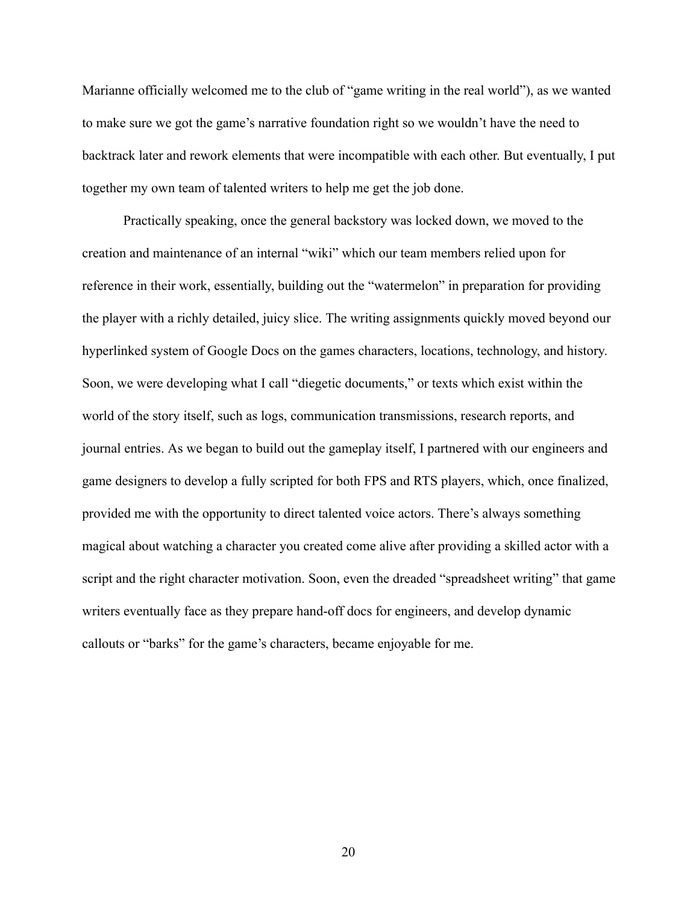Marianne officially welcomed me to the club of "game writing in the real world"), as we wanted to make sure we got the game's narrative foundation right so we wouldn't have the need to backtrack later and rework elements that were incompatible with each other. But eventually, I put together my own team of talented writers to help me get the job done.

Practically speaking, once the general backstory was locked down, we moved to the creation and maintenance of an internal "wiki" which our team members relied upon for reference in their work, essentially, building out the "watermelon" in preparation for providing the player with a richly detailed, juicy slice. The writing assignments quickly moved beyond our hyperlinked system of Google Docs on the games characters, locations, technology, and history. Soon, we were developing what I call "diegetic documents," or texts which exist within the world of the story itself, such as logs, communication transmissions, research reports, and journal entries. As we began to build out the gameplay itself, I partnered with our engineers and game designers to develop a fully scripted for both FPS and RTS players, which, once finalized, provided me with the opportunity to direct talented voice actors. There's always something magical about watching a character you created come alive after providing a skilled actor with a script and the right character motivation. Soon, even the dreaded "spreadsheet writing" that game writers eventually face as they prepare hand-off docs for engineers, and develop dynamic callouts or "barks" for the game's characters, became enjoyable for me.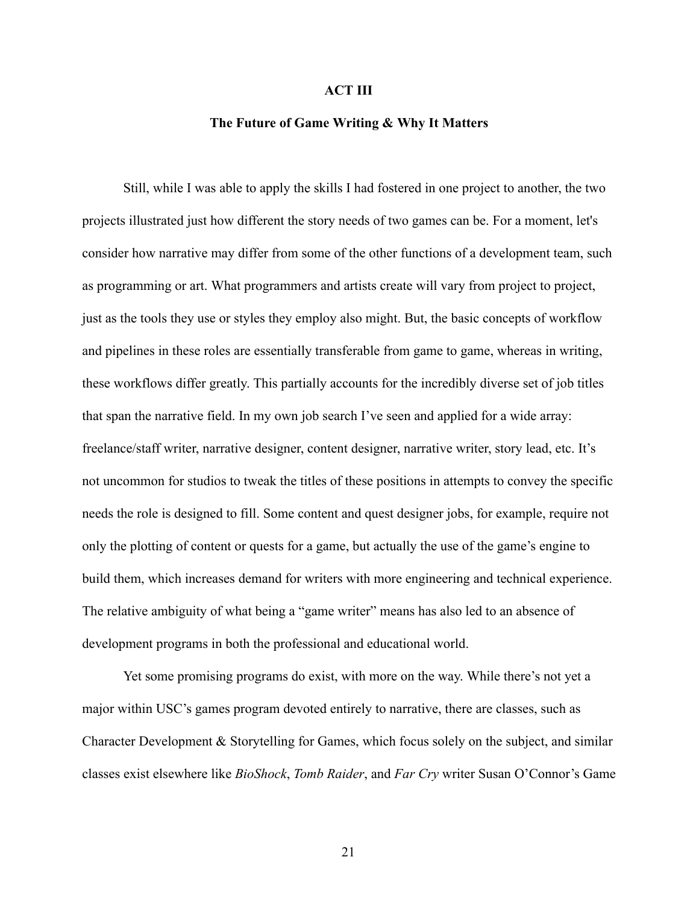## **ACT III**

## **The Future of Game Writing & Why It Matters**

Still, while I was able to apply the skills I had fostered in one project to another, the two projects illustrated just how different the story needs of two games can be. For a moment, let's consider how narrative may differ from some of the other functions of a development team, such as programming or art. What programmers and artists create will vary from project to project, just as the tools they use or styles they employ also might. But, the basic concepts of workflow and pipelines in these roles are essentially transferable from game to game, whereas in writing, these workflows differ greatly. This partially accounts for the incredibly diverse set of job titles that span the narrative field. In my own job search I've seen and applied for a wide array: freelance/staff writer, narrative designer, content designer, narrative writer, story lead, etc. It's not uncommon for studios to tweak the titles of these positions in attempts to convey the specific needs the role is designed to fill. Some content and quest designer jobs, for example, require not only the plotting of content or quests for a game, but actually the use of the game's engine to build them, which increases demand for writers with more engineering and technical experience. The relative ambiguity of what being a "game writer" means has also led to an absence of development programs in both the professional and educational world.

Yet some promising programs do exist, with more on the way. While there's not yet a major within USC's games program devoted entirely to narrative, there are classes, such as Character Development & Storytelling for Games, which focus solely on the subject, and similar classes exist elsewhere like *BioShock* , *Tomb Raider* , and *Far Cry* writer Susan O'Connor's Game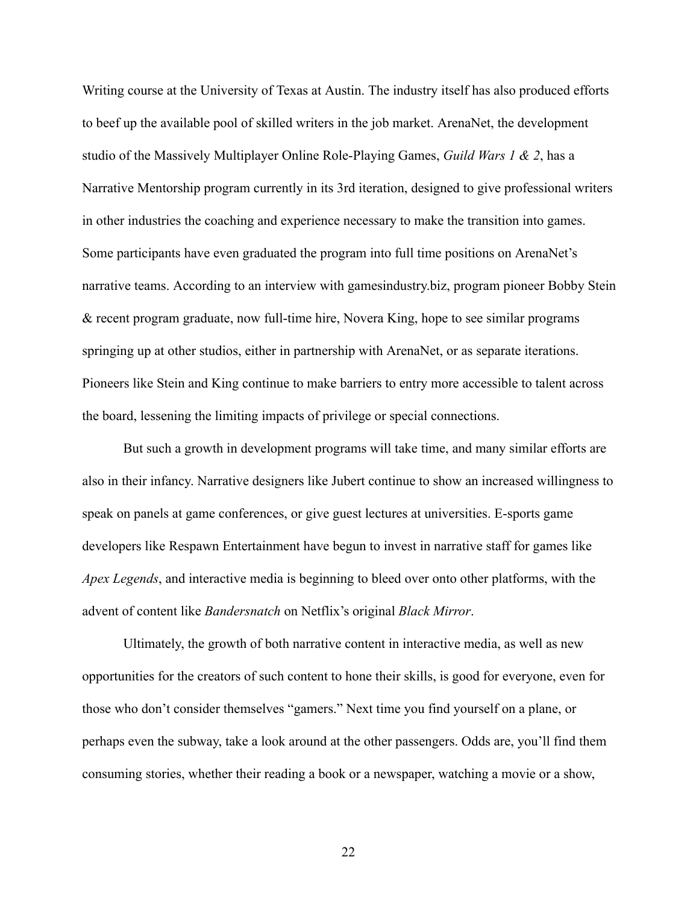Writing course at the University of Texas at Austin. The industry itself has also produced efforts to beef up the available pool of skilled writers in the job market. ArenaNet, the development studio of the Massively Multiplayer Online Role-Playing Games, *Guild Wars 1 & 2* , has a Narrative Mentorship program currently in its 3rd iteration, designed to give professional writers in other industries the coaching and experience necessary to make the transition into games. Some participants have even graduated the program into full time positions on ArenaNet's narrative teams. According to an interview with gamesindustry.biz, program pioneer Bobby Stein & recent program graduate, now full-time hire, Novera King, hope to see similar programs springing up at other studios, either in partnership with ArenaNet, or as separate iterations. Pioneers like Stein and King continue to make barriers to entry more accessible to talent across the board, lessening the limiting impacts of privilege or special connections.

But such a growth in development programs will take time, and many similar efforts are also in their infancy. Narrative designers like Jubert continue to show an increased willingness to speak on panels at game conferences, or give guest lectures at universities. E-sports game developers like Respawn Entertainment have begun to invest in narrative staff for games like *Apex Legends* , and interactive media is beginning to bleed over onto other platforms, with the advent of content like *Bandersnatch* on Netflix's original *Black Mirror* .

Ultimately, the growth of both narrative content in interactive media, as well as new opportunities for the creators of such content to hone their skills, is good for everyone, even for those who don't consider themselves "gamers." Next time you find yourself on a plane, or perhaps even the subway, take a look around at the other passengers. Odds are, you'll find them consuming stories, whether their reading a book or a newspaper, watching a movie or a show,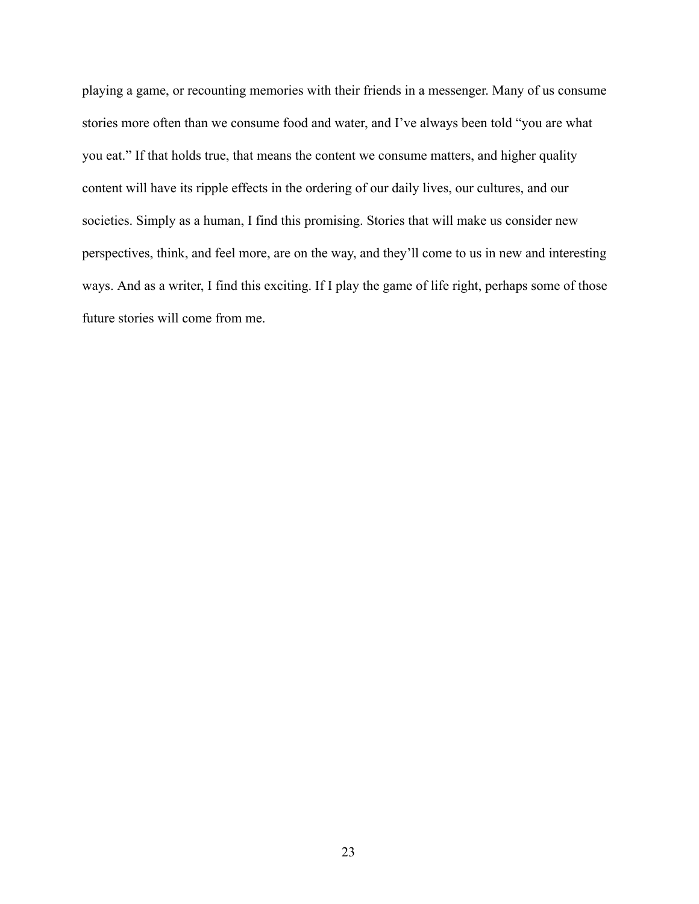playing a game, or recounting memories with their friends in a messenger. Many of us consume stories more often than we consume food and water, and I've always been told "you are what you eat." If that holds true, that means the content we consume matters, and higher quality content will have its ripple effects in the ordering of our daily lives, our cultures, and our societies. Simply as a human, I find this promising. Stories that will make us consider new perspectives, think, and feel more, are on the way, and they'll come to us in new and interesting ways. And as a writer, I find this exciting. If I play the game of life right, perhaps some of those future stories will come from me.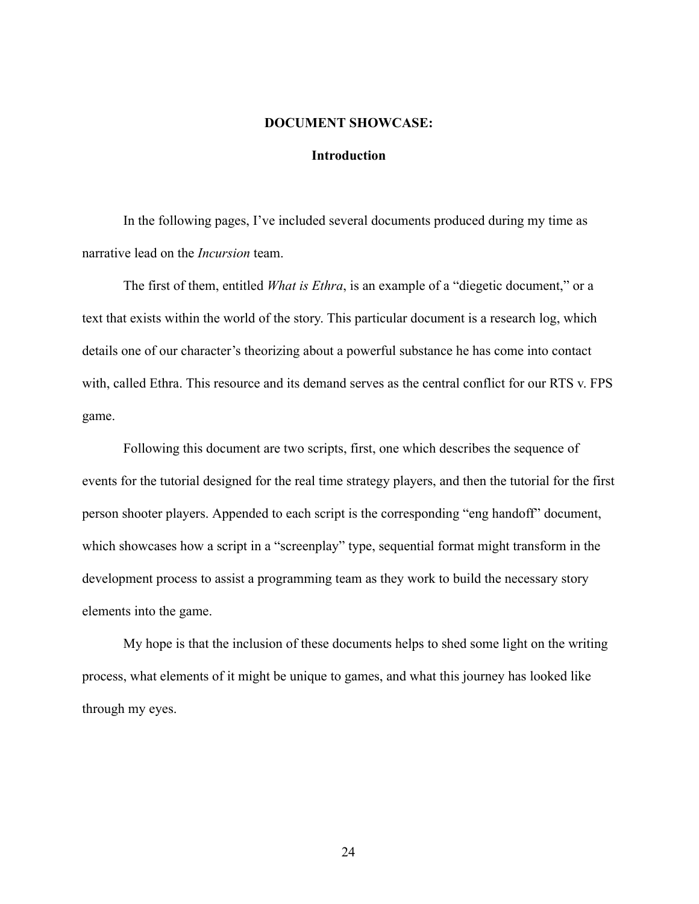#### **DOCUMENT SHOWCASE:**

## **Introduction**

In the following pages, I've included several documents produced during my time as narrative lead on the *Incursion* team.

The first of them, entitled *What is Ethra*, is an example of a "diegetic document," or a text that exists within the world of the story. This particular document is a research log, which details one of our character's theorizing about a powerful substance he has come into contact with, called Ethra. This resource and its demand serves as the central conflict for our RTS v. FPS game.

Following this document are two scripts, first, one which describes the sequence of events for the tutorial designed for the real time strategy players, and then the tutorial for the first person shooter players. Appended to each script is the corresponding "eng handoff" document, which showcases how a script in a "screenplay" type, sequential format might transform in the development process to assist a programming team as they work to build the necessary story elements into the game.

My hope is that the inclusion of these documents helps to shed some light on the writing process, what elements of it might be unique to games, and what this journey has looked like through my eyes.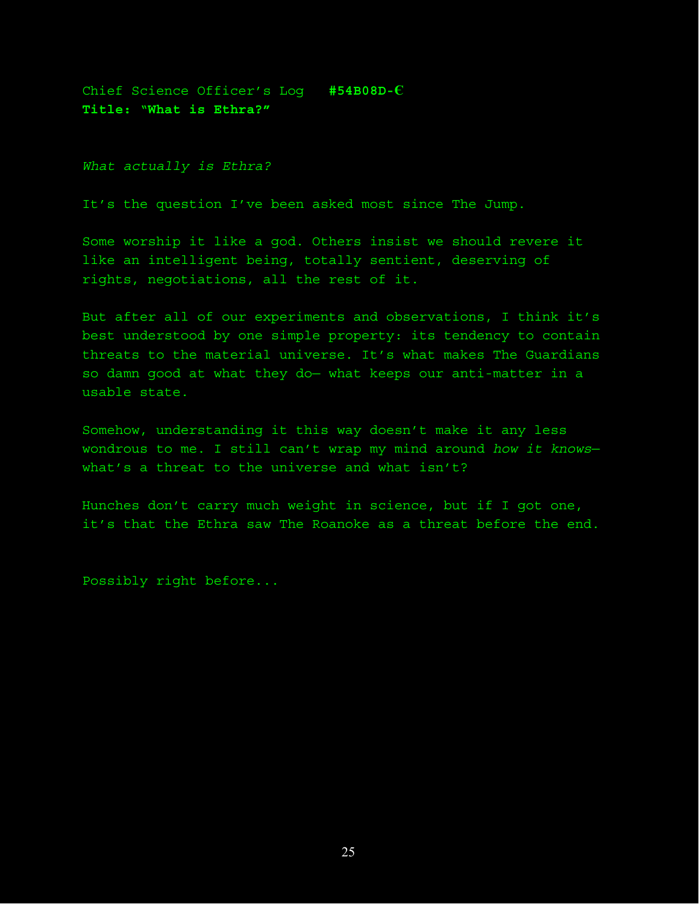Chief Science Officer's Log **#54B08D-Є Title:** "**What is Ethra?"**

*What actually is Ethra?*

It's the question I've been asked most since The Jump.

Some worship it like a god. Others insist we should revere it like an intelligent being, totally sentient, deserving of rights, negotiations, all the rest of it.

But after all of our experiments and observations, I think it's best understood by one simple property: its tendency to contain threats to the material universe. It's what makes The Guardians so damn good at what they do— what keeps our anti-matter in a usable state.

Somehow, understanding it this way doesn't make it any less wondrous to me. I still can't wrap my mind around *how it knows* what's a threat to the universe and what isn't?

Hunches don't carry much weight in science, but if I got one, it's that the Ethra saw The Roanoke as a threat before the end.

Possibly right before...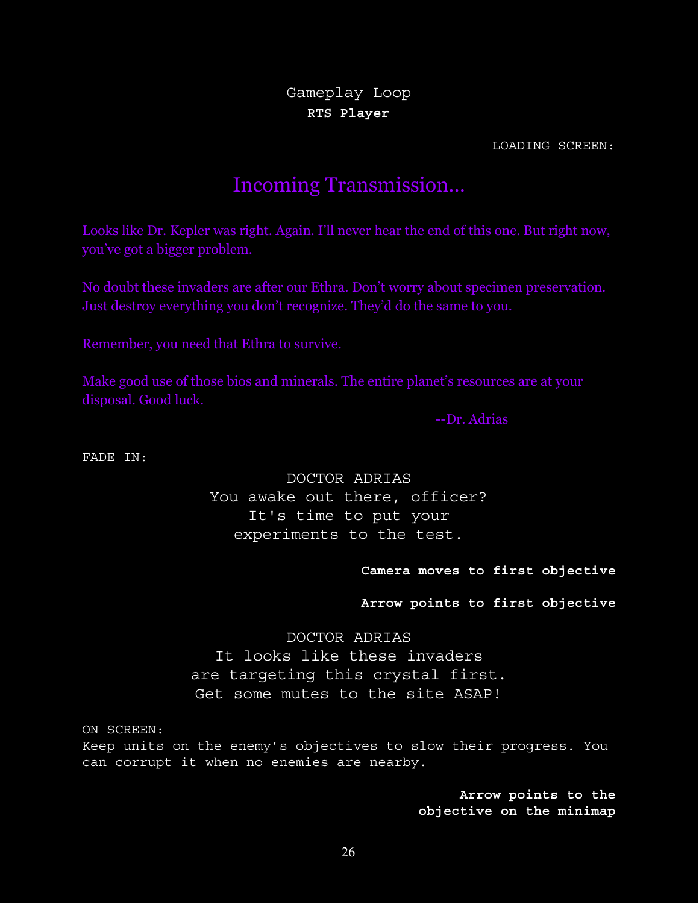Gameplay Loop **RTS Player**

LOADING SCREEN:

# Incoming Transmission...

Looks like Dr. Kepler was right. Again. I'll never hear the end of this one. But right now, you've got a bigger problem.

No doubt these invaders are after our Ethra. Don't worry about specimen preservation. Just destroy everything you don't recognize. They'd do the same to you.

Remember, you need that Ethra to survive.

Make good use of those bios and minerals. The entire planet's resources are at your disposal. Good luck.

--Dr. Adrias

FADE IN:

DOCTOR ADRIAS You awake out there, officer? It's time to put your experiments to the test.

**Camera moves to first objective**

**Arrow points to first objective**

DOCTOR ADRIAS It looks like these invaders are targeting this crystal first. Get some mutes to the site ASAP!

ON SCREEN: Keep units on the enemy's objectives to slow their progress. You can corrupt it when no enemies are nearby.

> **Arrow points to the objective on the minimap**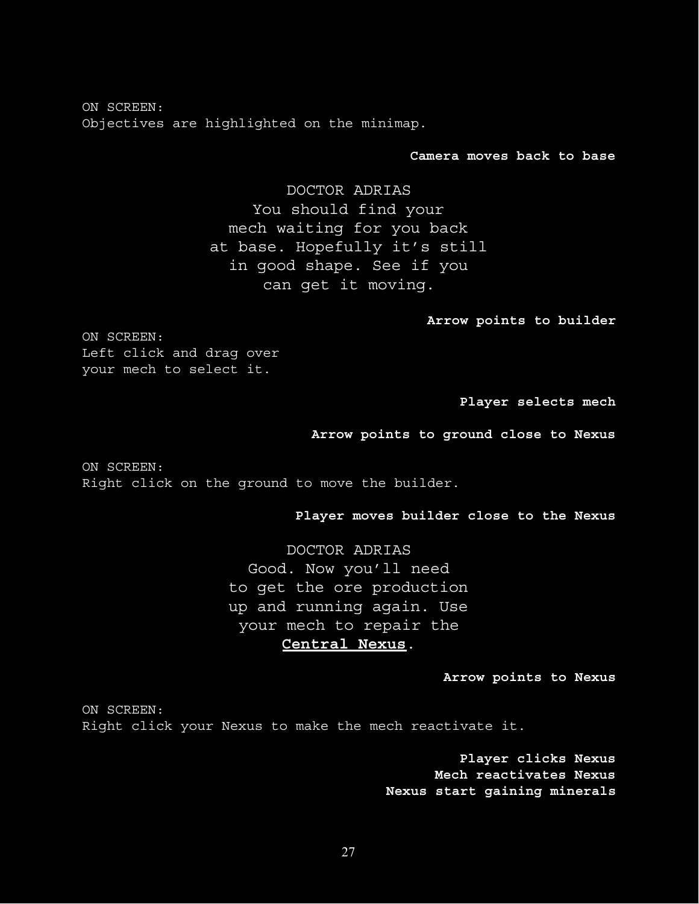ON SCREEN: Objectives are highlighted on the minimap.

**Camera moves back to base**

DOCTOR ADRIAS You should find your mech waiting for you back at base. Hopefully it's still in good shape. See if you can get it moving.

**Arrow points to builder**

ON SCREEN: Left click and drag over your mech to select it.

**Player selects mech**

**Arrow points to ground close to Nexus**

ON SCREEN: Right click on the ground to move the builder.

**Player moves builder close to the Nexus**

DOCTOR ADRIAS Good. Now you'll need to get the ore production up and running again. Use your mech to repair the **Central Nexus**.

**Arrow points to Nexus**

ON SCREEN: Right click your Nexus to make the mech reactivate it.

> **Player clicks Nexus Mech reactivates Nexus Nexus start gaining minerals**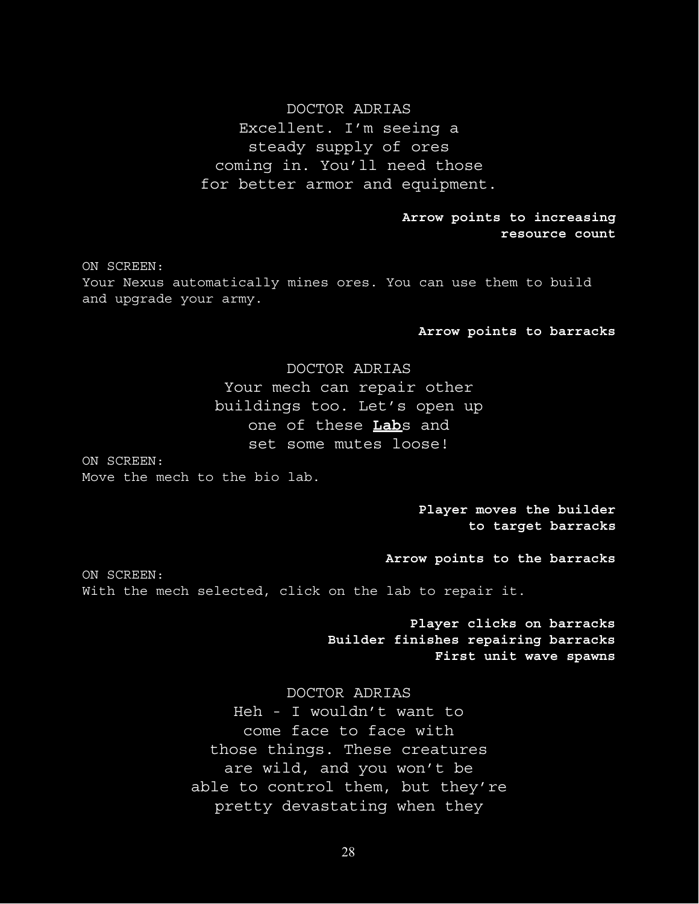## DOCTOR ADRIAS

Excellent. I'm seeing a steady supply of ores coming in. You'll need those for better armor and equipment.

> **Arrow points to increasing resource count**

ON SCREEN: Your Nexus automatically mines ores. You can use them to build and upgrade your army.

#### **Arrow points to barracks**

# DOCTOR ADRIAS Your mech can repair other buildings too. Let's open up one of these **Lab**s and set some mutes loose!

ON SCREEN: Move the mech to the bio lab.

> **Player moves the builder to target barracks**

**Arrow points to the barracks**

ON SCREEN: With the mech selected, click on the lab to repair it.

> **Player clicks on barracks Builder finishes repairing barracks First unit wave spawns**

## DOCTOR ADRIAS

Heh - I wouldn't want to come face to face with those things. These creatures are wild, and you won't be able to control them, but they're pretty devastating when they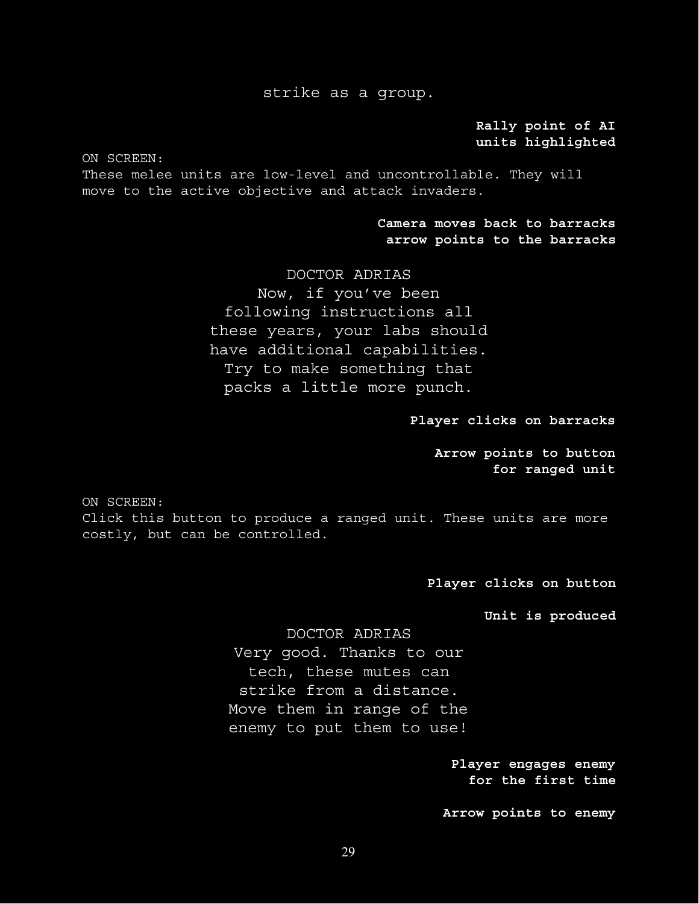## strike as a group.

**Rally point of AI units highlighted**

ON SCREEN:

These melee units are low-level and uncontrollable. They will move to the active objective and attack invaders.

> **Camera moves back to barracks arrow points to the barracks**

DOCTOR ADRIAS Now, if you've been following instructions all these years, your labs should have additional capabilities. Try to make something that packs a little more punch.

**Player clicks on barracks**

**Arrow points to button for ranged unit**

ON SCREEN:

Click this button to produce a ranged unit. These units are more costly, but can be controlled.

**Player clicks on button**

**Unit is produced**

DOCTOR ADRIAS Very good. Thanks to our tech, these mutes can strike from a distance. Move them in range of the enemy to put them to use!

> **Player engages enemy for the first time**

**Arrow points to enemy**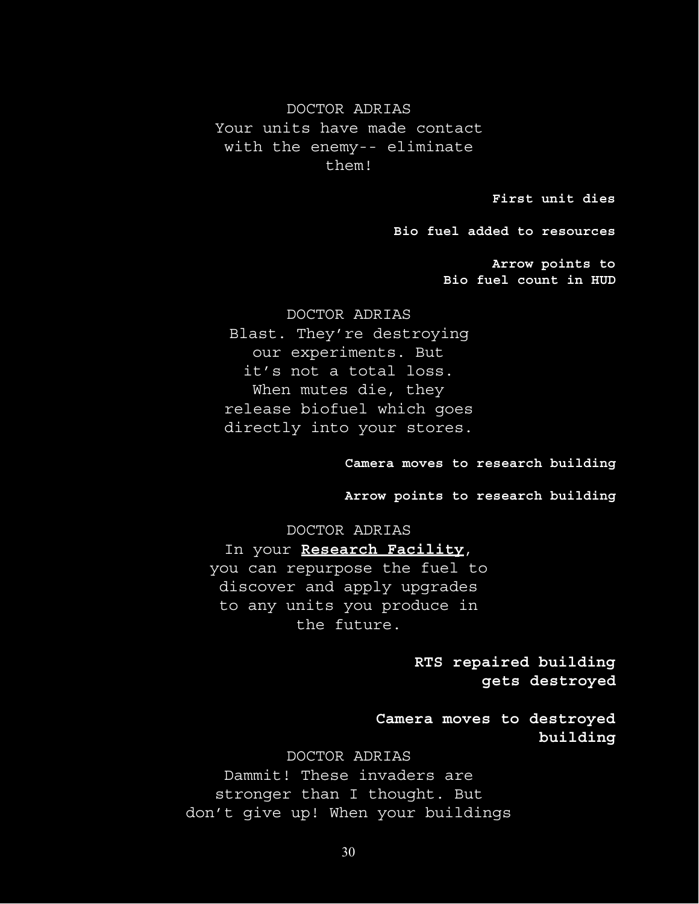DOCTOR ADRIAS Your units have made contact with the enemy-- eliminate them!

**First unit dies**

**Bio fuel added to resources**

**Arrow points to Bio fuel count in HUD**

DOCTOR ADRIAS Blast. They're destroying our experiments. But it's not a total loss. When mutes die, they release biofuel which goes directly into your stores.

#### **Camera moves to research building**

**Arrow points to research building**

DOCTOR ADRIAS In your **Research Facility**, you can repurpose the fuel to discover and apply upgrades to any units you produce in the future.

> **RTS repaired building gets destroyed**

**Camera moves to destroyed building**

DOCTOR ADRIAS Dammit! These invaders are stronger than I thought. But don't give up! When your buildings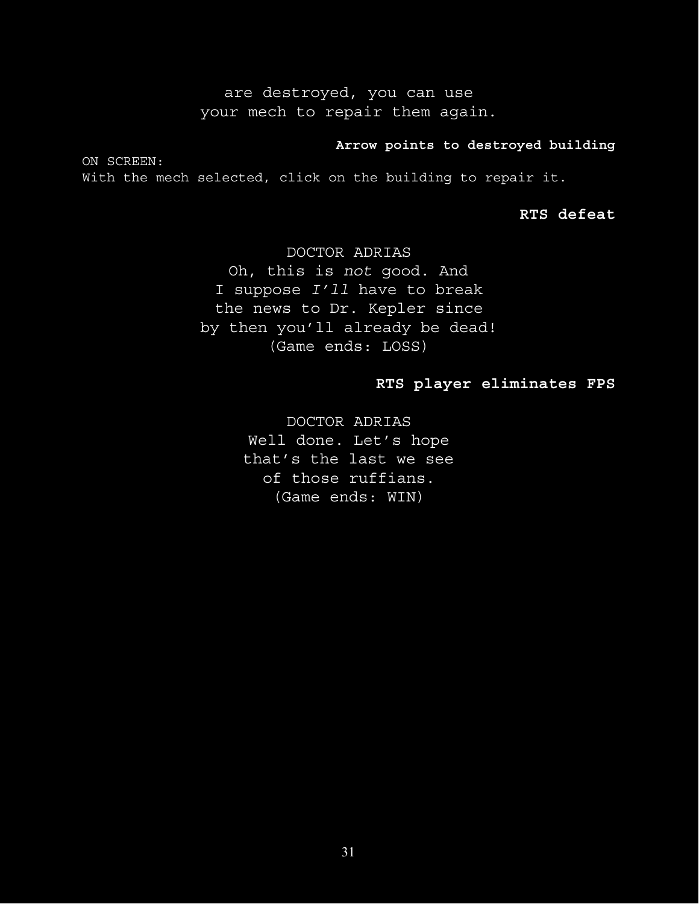are destroyed, you can use your mech to repair them again.

## **Arrow points to destroyed building**

ON SCREEN: With the mech selected, click on the building to repair it.

**RTS defeat**

DOCTOR ADRIAS Oh, this is *not* good. And I suppose *I'll* have to break the news to Dr. Kepler since by then you'll already be dead! (Game ends: LOSS)

## **RTS player eliminates FPS**

DOCTOR ADRIAS Well done. Let's hope that's the last we see of those ruffians. (Game ends: WIN)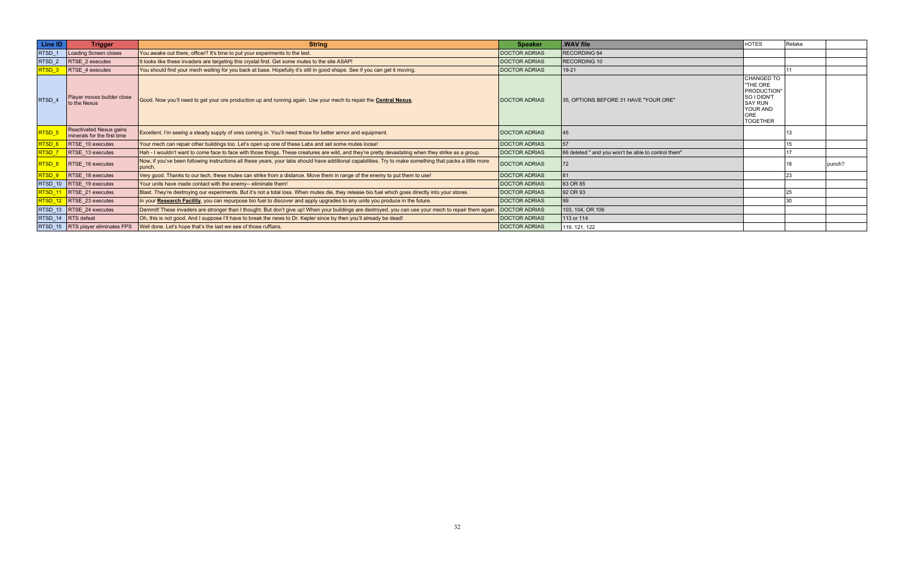| Line ID           | <b>Trigger</b>                                         | <b>String</b>                                                                                                                                                         | <b>Speaker</b>       | .WAV file                                           | nOTES                                                                                                        | Retake |        |
|-------------------|--------------------------------------------------------|-----------------------------------------------------------------------------------------------------------------------------------------------------------------------|----------------------|-----------------------------------------------------|--------------------------------------------------------------------------------------------------------------|--------|--------|
| RTSD 1            | Loading Screen closes                                  | You awake out there, officer? It's time to put your experiments to the test.                                                                                          | <b>DOCTOR ADRIAS</b> | <b>RECORDING 64</b>                                 |                                                                                                              |        |        |
| RTSD_2            | <b>RTSE 2 executes</b>                                 | It looks like these invaders are targeting this crystal first. Get some mutes to the site ASAP!                                                                       | <b>DOCTOR ADRIAS</b> | RECORDING 10                                        |                                                                                                              |        |        |
| RTSD_3            | RTSE_4 executes                                        | You should find your mech waiting for you back at base. Hopefully it's still in good shape. See if you can get it moving.                                             | <b>DOCTOR ADRIAS</b> | $19-21$                                             |                                                                                                              |        |        |
| RTSD 4            | Player moves builder close<br>to the Nexus             | Good. Now you'll need to get your ore production up and running again. Use your mech to repair the <b>Central Nexus</b> .                                             | <b>DOCTOR ADRIAS</b> | 35. OPTIONS BEFORE 31 HAVE "YOUR ORE"               | CHANGED TO<br>"THE ORE<br>PRODUCTION"<br>SO I DIDN'T<br><b>SAY RUN</b><br>YOUR AND<br>ORE<br><b>TOGETHER</b> |        |        |
| RTSD <sub>5</sub> | Reactivated Nexus gains<br>minerals for the first time | Excellent. I'm seeing a steady supply of ores coming in. You'll need those for better armor and equipment.                                                            | <b>DOCTOR ADRIAS</b> | 45                                                  |                                                                                                              |        |        |
| RTSD_6            | $RTSE_10$ executes                                     | Your mech can repair other buildings too. Let's open up one of these Labs and set some mutes loose!                                                                   | <b>DOCTOR ADRIAS</b> | 57                                                  |                                                                                                              |        |        |
| RTSD_7            | $RTSE_13$ executes                                     | Hah - I wouldn't want to come face to face with those things. These creatures are wild, and they're pretty devastating when they strike as a group.                   | <b>DOCTOR ADRIAS</b> | 66 deleted " and you won't be able to control them" |                                                                                                              |        |        |
| RTSD_8            | $RTSE_16$ executes                                     | Now, if you've been following instructions all these years, your labs should have additional capabilities. Try to make something that packs a little more<br>I punch. | <b>DOCTOR ADRIAS</b> | 72                                                  |                                                                                                              |        | punch? |
| RTSD_9            | $RTSE$ 18 executes                                     | Very good. Thanks to our tech, these mutes can strike from a distance. Move them in range of the enemy to put them to use!                                            | <b>DOCTOR ADRIAS</b> |                                                     |                                                                                                              |        |        |
|                   | RTSD_10   RTSE_19 executes                             | Your units have made contact with the enemy-- eliminate them!                                                                                                         | <b>DOCTOR ADRIAS</b> | 83 OR 85                                            |                                                                                                              |        |        |
|                   | RTSD_11  RTSE_21 executes                              | Blast. They're destroying our experiments. But it's not a total loss. When mutes die, they release bio fuel which goes directly into your stores.                     | <b>DOCTOR ADRIAS</b> | 92 OR 93                                            |                                                                                                              | 25     |        |
|                   | $RTSD_12$ RTSE_23 executes                             | In your Research Facility, you can repurpose bio fuel to discover and apply upgrades to any units you produce in the future.                                          | <b>DOCTOR ADRIAS</b> | 99                                                  |                                                                                                              |        |        |
|                   | RTSD_13  RTSE_24 executes                              | Dammit! These invaders are stronger than I thought. But don't give up! When your buildings are destroyed, you can use your mech to repair them again.                 | <b>DOCTOR ADRIAS</b> | 103, 104, OR 106                                    |                                                                                                              |        |        |
|                   | RTSD_14 <b>RTS</b> defeat                              | Oh, this is not good. And I suppose I'll have to break the news to Dr. Kepler since by then you'll already be dead!                                                   | <b>DOCTOR ADRIAS</b> | 113 or 114                                          |                                                                                                              |        |        |
|                   | RTSD_15   RTS player eliminates FPS                    | Well done. Let's hope that's the last we see of those ruffians.                                                                                                       | <b>DOCTOR ADRIAS</b> | 119. 121, 122                                       |                                                                                                              |        |        |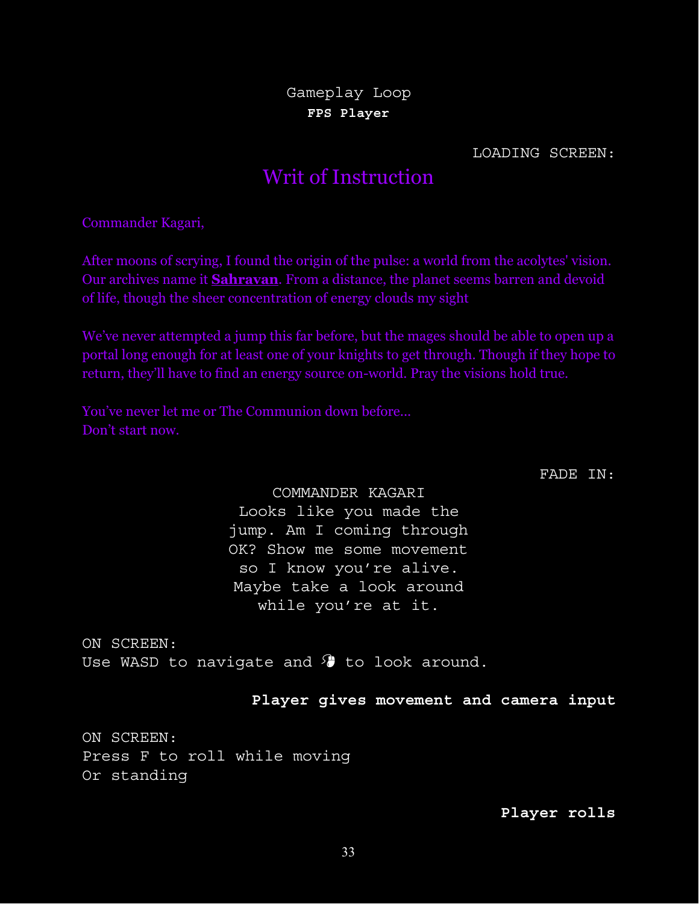Gameplay Loop **FPS Player**

LOADING SCREEN:

# Writ of Instruction

Commander Kagari,

After moons of scrying, I found the origin of the pulse: a world from the acolytes' vision. Our archives name it **Sahravan**. From a distance, the planet seems barren and devoid of life, though the sheer concentration of energy clouds my sight

We've never attempted a jump this far before, but the mages should be able to open up a portal long enough for at least one of your knights to get through. Though if they hope to return, they'll have to find an energy source on-world. Pray the visions hold true.

You've never let me or The Communion down before... Don't start now.

FADE IN:

COMMANDER KAGARI Looks like you made the jump. Am I coming through OK? Show me some movement so I know you're alive. Maybe take a look around while you're at it.

ON SCREEN: Use WASD to navigate and  $\theta$  to look around.

**Player gives movement and camera input**

ON SCREEN: Press F to roll while moving Or standing

**Player rolls**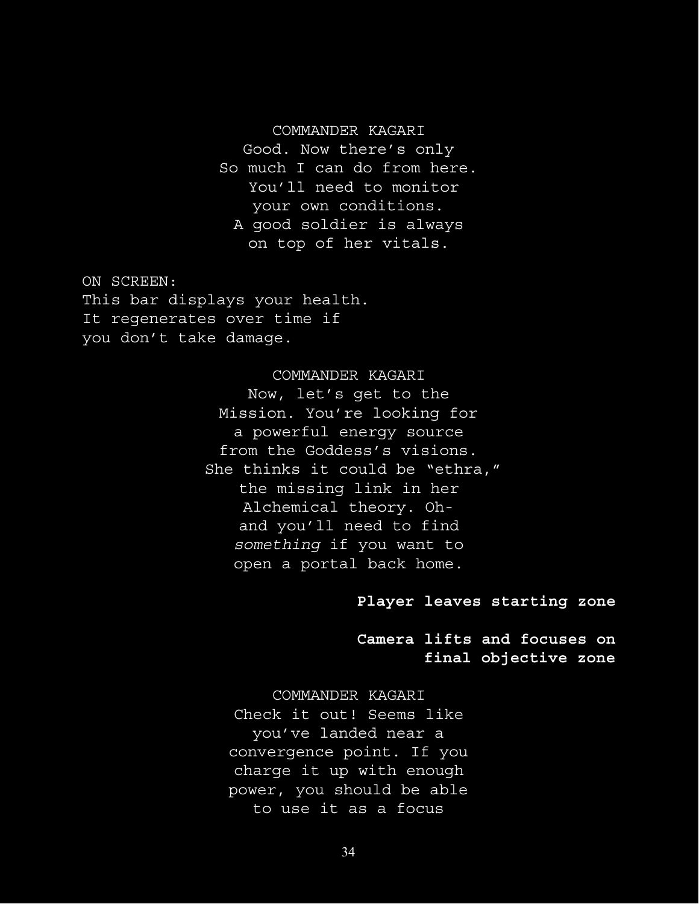## COMMANDER KAGARI

Good. Now there's only So much I can do from here. You'll need to monitor your own conditions. A good soldier is always on top of her vitals.

ON SCREEN: This bar displays your health. It regenerates over time if you don't take damage.

> COMMANDER KAGARI Now, let's get to the Mission. You're looking for a powerful energy source from the Goddess's visions. She thinks it could be "ethra," the missing link in her Alchemical theory. Ohand you'll need to find *something* if you want to open a portal back home.

## **Player leaves starting zone**

**Camera lifts and focuses on final objective zone**

COMMANDER KAGARI Check it out! Seems like you've landed near a convergence point. If you charge it up with enough power, you should be able to use it as a focus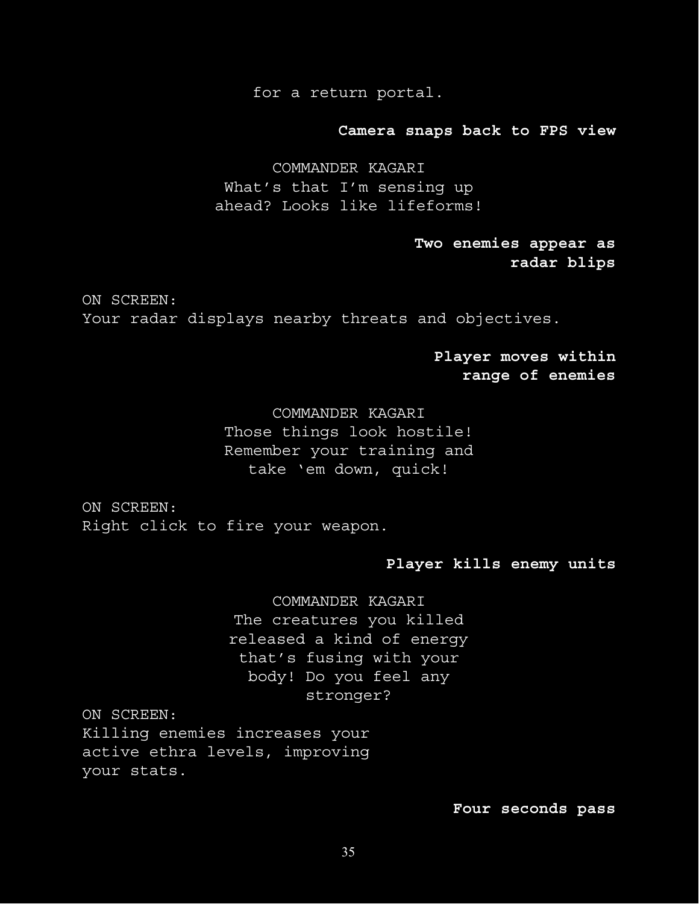for a return portal.

**Camera snaps back to FPS view**

COMMANDER KAGARI What's that I'm sensing up ahead? Looks like lifeforms!

> **Two enemies appear as radar blips**

ON SCREEN: Your radar displays nearby threats and objectives.

> **Player moves within range of enemies**

COMMANDER KAGARI Those things look hostile! Remember your training and take 'em down, quick!

ON SCREEN: Right click to fire your weapon.

## **Player kills enemy units**

COMMANDER KAGARI The creatures you killed released a kind of energy that's fusing with your body! Do you feel any stronger?

ON SCREEN:

Killing enemies increases your active ethra levels, improving your stats.

## **Four seconds pass**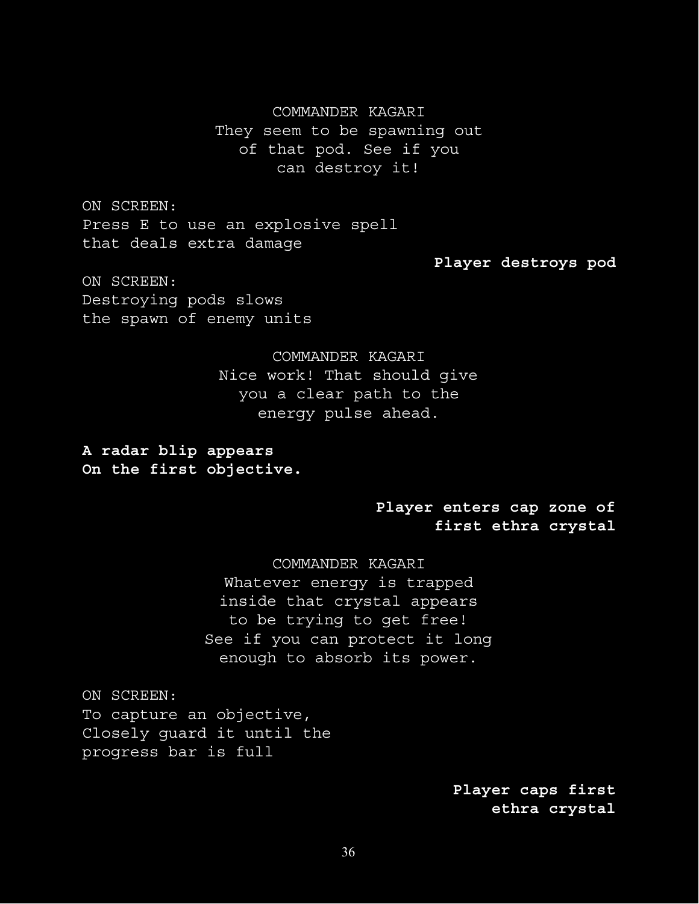# COMMANDER KAGARI They seem to be spawning out of that pod. See if you can destroy it!

ON SCREEN: Press E to use an explosive spell that deals extra damage

**Player destroys pod**

ON SCREEN: Destroying pods slows the spawn of enemy units

> COMMANDER KAGARI Nice work! That should give you a clear path to the energy pulse ahead.

**A radar blip appears On the first objective.**

## **Player enters cap zone of first ethra crystal**

COMMANDER KAGARI Whatever energy is trapped inside that crystal appears to be trying to get free! See if you can protect it long enough to absorb its power.

ON SCREEN: To capture an objective, Closely guard it until the progress bar is full

> **Player caps first ethra crystal**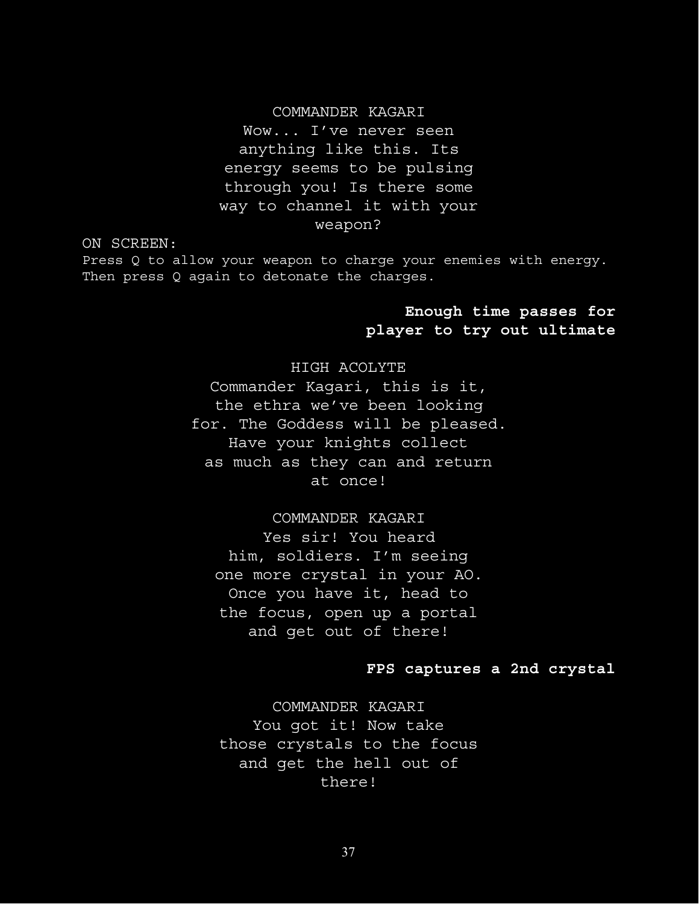## COMMANDER KAGARI

Wow... I've never seen anything like this. Its energy seems to be pulsing through you! Is there some way to channel it with your weapon?

ON SCREEN:

Press Q to allow your weapon to charge your enemies with energy. Then press Q again to detonate the charges.

## **Enough time passes for player to try out ultimate**

## HIGH ACOLYTE

Commander Kagari, this is it, the ethra we've been looking for. The Goddess will be pleased. Have your knights collect as much as they can and return at once!

COMMANDER KAGARI

Yes sir! You heard him, soldiers. I'm seeing one more crystal in your AO. Once you have it, head to the focus, open up a portal and get out of there!

## **FPS captures a 2nd crystal**

COMMANDER KAGARI You got it! Now take those crystals to the focus and get the hell out of there!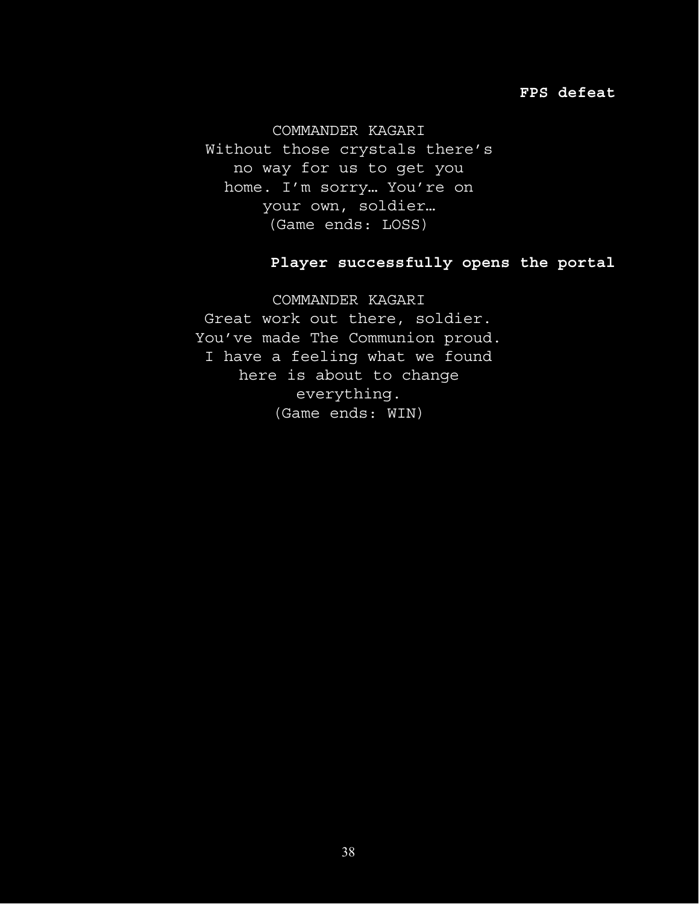## **FPS defeat**

COMMANDER KAGARI

Without those crystals there's no way for us to get you home. I'm sorry… You're on your own, soldier… (Game ends: LOSS)

# **Player successfully opens the portal**

COMMANDER KAGARI Great work out there, soldier. You've made The Communion proud. I have a feeling what we found here is about to change everything. (Game ends: WIN)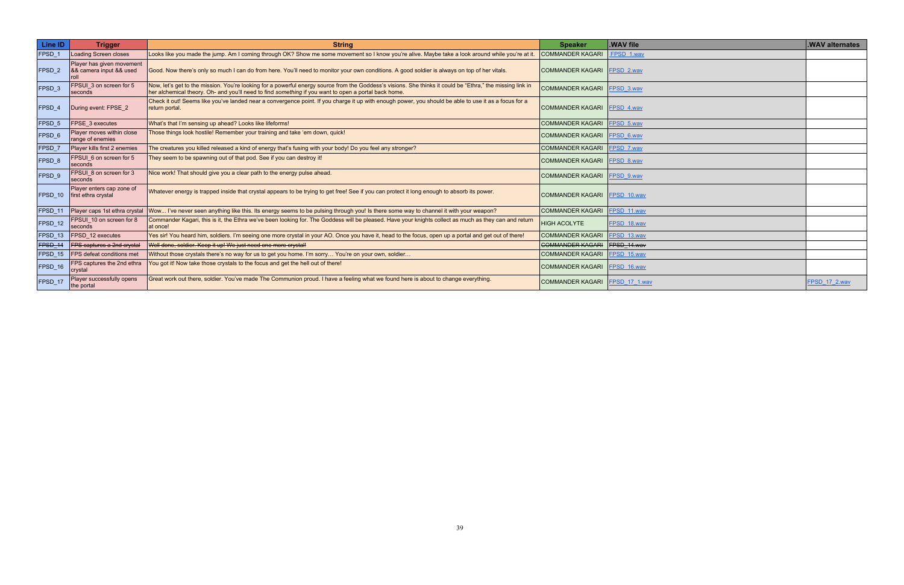| Line ID           | <b>Trigger</b>                                               | <b>String</b>                                                                                                                                                                                                                                                      | <b>Speaker</b>                   | .WAV file   | .WAV alternates |
|-------------------|--------------------------------------------------------------|--------------------------------------------------------------------------------------------------------------------------------------------------------------------------------------------------------------------------------------------------------------------|----------------------------------|-------------|-----------------|
| FPSD 1            | <b>Loading Screen closes</b>                                 | Looks like you made the jump. Am I coming through OK? Show me some movement so I know you're alive. Maybe take a look around while you're at it.                                                                                                                   | <b>COMMANDER KAGARI</b>          | FPSD 1.wav  |                 |
| FPSD 2            | Player has given movement<br>8& camera input && used         | Good. Now there's only so much I can do from here. You'll need to monitor your own conditions. A good soldier is always on top of her vitals.                                                                                                                      | COMMANDER KAGARI FPSD 2.wav      |             |                 |
| FPSD <sub>3</sub> | FPSUI 3 on screen for 5<br>seconds                           | Now, let's get to the mission. You're looking for a powerful energy source from the Goddess's visions. She thinks it could be "Ethra," the missing link in<br>her alchemical theory. Oh- and you'll need to find something if you want to open a portal back home. | COMMANDER KAGARI FPSD 3.wav      |             |                 |
| <b>FPSD 4</b>     | During event: FPSE 2                                         | Check it out! Seems like you've landed near a convergence point. If you charge it up with enough power, you should be able to use it as a focus for a<br>return portal.                                                                                            | COMMANDER KAGARI FPSD 4.wav      |             |                 |
| FPSD 5            | <b>FPSE 3 executes</b>                                       | What's that I'm sensing up ahead? Looks like lifeforms!                                                                                                                                                                                                            | COMMANDER KAGARI FPSD 5.wav      |             |                 |
| FPSD 6            | Player moves within close<br>range of enemies                | Those things look hostile! Remember your training and take 'em down, quick!                                                                                                                                                                                        | COMMANDER KAGARI   FPSD 6.wav    |             |                 |
| <b>FPSD 7</b>     | Player kills first 2 enemies                                 | The creatures you killed released a kind of energy that's fusing with your body! Do you feel any stronger?                                                                                                                                                         | COMMANDER KAGARI   FPSD_7.wav    |             |                 |
| FPSD <sub>8</sub> | FPSUI_6 on screen for 5<br>seconds                           | They seem to be spawning out of that pod. See if you can destroy it!                                                                                                                                                                                               | COMMANDER KAGARI FPSD 8.wav      |             |                 |
| FPSD <sub>9</sub> | FPSUI 8 on screen for 3<br>seconds                           | Nice work! That should give you a clear path to the energy pulse ahead.                                                                                                                                                                                            | COMMANDER KAGARI   FPSD 9.wav    |             |                 |
|                   | Player enters cap zone of<br>$FPSD 10$   first ethra crystal | Whatever energy is trapped inside that crystal appears to be trying to get free! See if you can protect it long enough to absorb its power.                                                                                                                        | COMMANDER KAGARI FPSD 10.wav     |             |                 |
|                   |                                                              | FPSD_11  Player caps 1st ethra crystal  Wow I've never seen anything like this. Its energy seems to be pulsing through you! Is there some way to channel it with your weapon?                                                                                      | COMMANDER KAGARI FPSD 11.wav     |             |                 |
| FPSD_12           | FPSUI_10 on screen for 8<br>seconds                          | Commander Kagari, this is it, the Ethra we've been looking for. The Goddess will be pleased. Have your knights collect as much as they can and return<br>at once!                                                                                                  | <b>HIGH ACOLYTE</b>              | FPSD 18.wav |                 |
|                   | FPSD_13   FPSD_12 executes                                   | Yes sir! You heard him, soldiers. I'm seeing one more crystal in your AO. Once you have it, head to the focus, open up a portal and get out of there!                                                                                                              | COMMANDER KAGARI FPSD 13.wav     |             |                 |
|                   | FPSD_14 FPS captures a 2nd crystal                           | Well done, soldier. Keep it up! We just need one more crystal!                                                                                                                                                                                                     | COMMANDER KAGARI   FPSD_14.wav   |             |                 |
|                   | FPSD_15   FPS defeat conditions met                          | Without those crystals there's no way for us to get you home. I'm sorry You're on your own, soldier                                                                                                                                                                | COMMANDER KAGARI   FPSD 15.wav   |             |                 |
| FPSD_16           | FPS captures the 2nd ethra<br> crystal                       | You got it! Now take those crystals to the focus and get the hell out of there!                                                                                                                                                                                    | COMMANDER KAGARI   FPSD 16.wav   |             |                 |
| FPSD_17           | Player successfully opens<br>the portal                      | Great work out there, soldier. You've made The Communion proud. I have a feeling what we found here is about to change everything.                                                                                                                                 | COMMANDER KAGARI   FPSD 17 1.wav |             | FPSD 17 2.wav   |

| .WAV alternates |
|-----------------|
|                 |
|                 |
|                 |
|                 |
|                 |
|                 |
|                 |
|                 |
|                 |
|                 |
|                 |
|                 |
|                 |
|                 |
|                 |
|                 |
|                 |
|                 |
|                 |
| FPSD_17_2.wav   |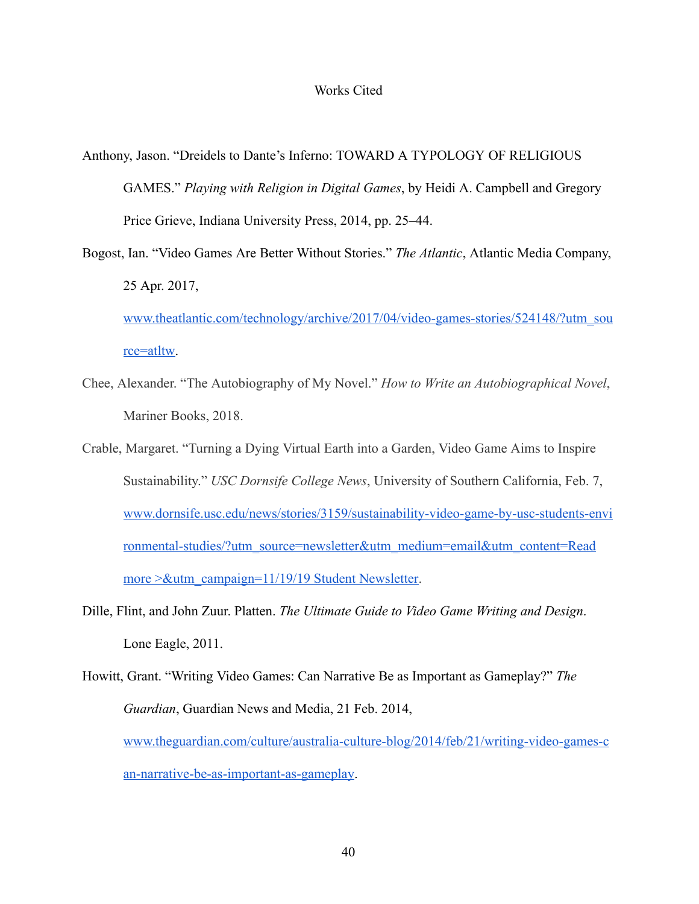- Anthony, Jason. "Dreidels to Dante's Inferno: TOWARD A TYPOLOGY OF RELIGIOUS GAMES." *Playing with Religion in Digital Games* , by Heidi A. Campbell and Gregory Price Grieve, Indiana University Press, 2014, pp. 25–44.
- Bogost, Ian. "Video Games Are Better Without Stories." *The Atlantic* , Atlantic Media Company, 25 Apr. 2017,

[www.theatlantic.com/technology/archive/2017/04/video-games-stories/524148/?utm\\_sou](http://www.theatlantic.com/technology/archive/2017/04/video-games-stories/524148/?utm_source=atltw)  rce=atltw.

- Chee, Alexander. "The Autobiography of My Novel." *How to Write an Autobiographical Novel* , Mariner Books, 2018.
- Crable, Margaret. "Turning a Dying Virtual Earth into a Garden, Video Game Aims to Inspire Sustainability." *USC Dornsife College News* , University of Southern California, Feb. 7, [www.dornsife.usc.edu/news/stories/3159/sustainability-video-game-by-usc-students-envi](http://www.dornsife.usc.edu/news/stories/3159/sustainability-video-game-by-usc-students-environmental-studies/?utm_source=newsletter&utm_medium=email&utm_content=Read)  [ronmental-studies/?utm\\_source=newsletter&utm\\_medium=email&utm\\_content=Read](http://www.dornsife.usc.edu/news/stories/3159/sustainability-video-game-by-usc-students-environmental-studies/?utm_source=newsletter&utm_medium=email&utm_content=Read)  more > &utm\_campaign=11/19/19 Student Newsletter.
- Dille, Flint, and John Zuur. Platten. *The Ultimate Guide to Video Game Writing and Design* . Lone Eagle, 2011.
- Howitt, Grant. "Writing Video Games: Can Narrative Be as Important as Gameplay?" *The Guardian* , Guardian News and Media, 21 Feb. 2014, [www.theguardian.com/culture/australia-culture-blog/2014/feb/21/writing-video-games-c](http://www.theguardian.com/culture/australia-culture-blog/2014/feb/21/writing-video-games-can-narrative-be-as-important-as-gameplay)  [an-narrative-be-as-important-as-gameplay](http://www.theguardian.com/culture/australia-culture-blog/2014/feb/21/writing-video-games-can-narrative-be-as-important-as-gameplay) .